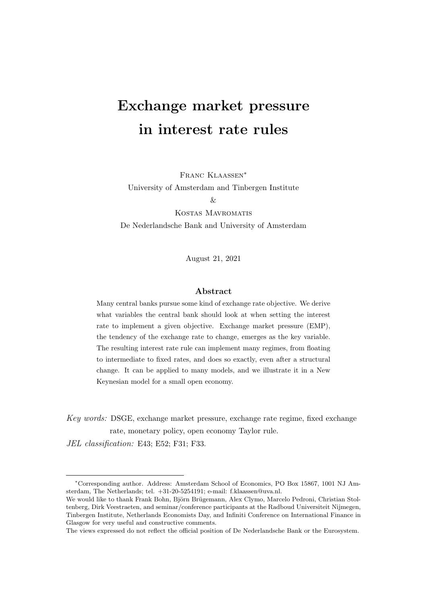# Exchange market pressure in interest rate rules

Franc Klaassen∗

University of Amsterdam and Tinbergen Institute

 $\&$ 

Kostas Mavromatis De Nederlandsche Bank and University of Amsterdam

August 21, 2021

## Abstract

Many central banks pursue some kind of exchange rate objective. We derive what variables the central bank should look at when setting the interest rate to implement a given objective. Exchange market pressure (EMP), the tendency of the exchange rate to change, emerges as the key variable. The resulting interest rate rule can implement many regimes, from floating to intermediate to fixed rates, and does so exactly, even after a structural change. It can be applied to many models, and we illustrate it in a New Keynesian model for a small open economy.

Key words: DSGE, exchange market pressure, exchange rate regime, fixed exchange rate, monetary policy, open economy Taylor rule.

JEL classification: E43; E52; F31; F33.

<sup>∗</sup>Corresponding author. Address: Amsterdam School of Economics, PO Box 15867, 1001 NJ Amsterdam, The Netherlands; tel. +31-20-5254191; e-mail: f.klaassen@uva.nl.

We would like to thank Frank Bohn, Björn Brügemann, Alex Clymo, Marcelo Pedroni, Christian Stoltenberg, Dirk Veestraeten, and seminar/conference participants at the Radboud Universiteit Nijmegen, Tinbergen Institute, Netherlands Economists Day, and Infiniti Conference on International Finance in Glasgow for very useful and constructive comments.

The views expressed do not reflect the official position of De Nederlandsche Bank or the Eurosystem.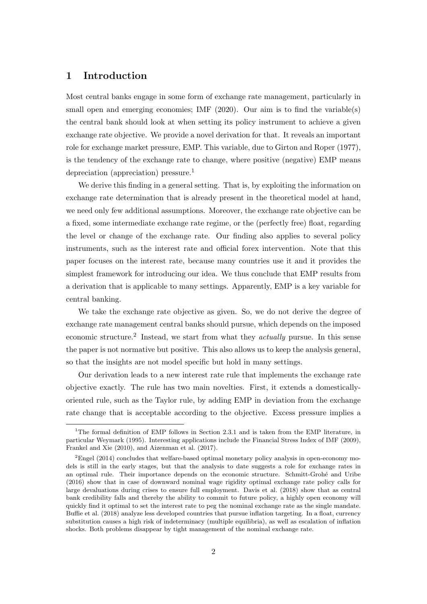# 1 Introduction

Most central banks engage in some form of exchange rate management, particularly in small open and emerging economies; IMF (2020). Our aim is to find the variable(s) the central bank should look at when setting its policy instrument to achieve a given exchange rate objective. We provide a novel derivation for that. It reveals an important role for exchange market pressure, EMP. This variable, due to Girton and Roper (1977), is the tendency of the exchange rate to change, where positive (negative) EMP means depreciation (appreciation) pressure.<sup>1</sup>

We derive this finding in a general setting. That is, by exploiting the information on exchange rate determination that is already present in the theoretical model at hand, we need only few additional assumptions. Moreover, the exchange rate objective can be a fixed, some intermediate exchange rate regime, or the (perfectly free) float, regarding the level or change of the exchange rate. Our finding also applies to several policy instruments, such as the interest rate and official forex intervention. Note that this paper focuses on the interest rate, because many countries use it and it provides the simplest framework for introducing our idea. We thus conclude that EMP results from a derivation that is applicable to many settings. Apparently, EMP is a key variable for central banking.

We take the exchange rate objective as given. So, we do not derive the degree of exchange rate management central banks should pursue, which depends on the imposed economic structure.<sup>2</sup> Instead, we start from what they *actually* pursue. In this sense the paper is not normative but positive. This also allows us to keep the analysis general, so that the insights are not model specific but hold in many settings.

Our derivation leads to a new interest rate rule that implements the exchange rate objective exactly. The rule has two main novelties. First, it extends a domesticallyoriented rule, such as the Taylor rule, by adding EMP in deviation from the exchange rate change that is acceptable according to the objective. Excess pressure implies a

<sup>&</sup>lt;sup>1</sup>The formal definition of EMP follows in Section 2.3.1 and is taken from the EMP literature, in particular Weymark (1995). Interesting applications include the Financial Stress Index of IMF (2009), Frankel and Xie (2010), and Aizenman et al. (2017).

 ${}^{2}$ Engel (2014) concludes that welfare-based optimal monetary policy analysis in open-economy models is still in the early stages, but that the analysis to date suggests a role for exchange rates in an optimal rule. Their importance depends on the economic structure. Schmitt-Grohé and Uribe (2016) show that in case of downward nominal wage rigidity optimal exchange rate policy calls for large devaluations during crises to ensure full employment. Davis et al. (2018) show that as central bank credibility falls and thereby the ability to commit to future policy, a highly open economy will quickly find it optimal to set the interest rate to peg the nominal exchange rate as the single mandate. Buffie et al. (2018) analyze less developed countries that pursue inflation targeting. In a float, currency substitution causes a high risk of indeterminacy (multiple equilibria), as well as escalation of inflation shocks. Both problems disappear by tight management of the nominal exchange rate.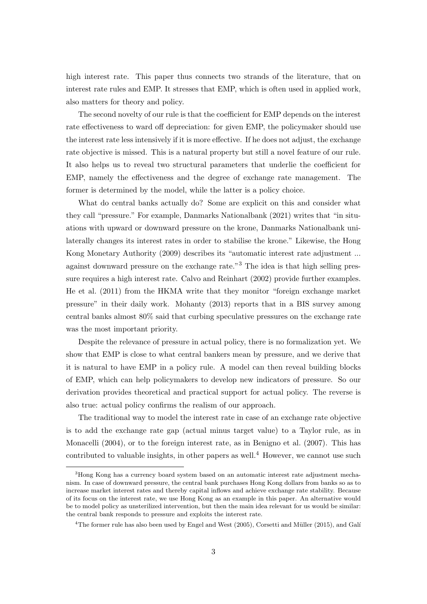high interest rate. This paper thus connects two strands of the literature, that on interest rate rules and EMP. It stresses that EMP, which is often used in applied work, also matters for theory and policy.

The second novelty of our rule is that the coefficient for EMP depends on the interest rate effectiveness to ward off depreciation: for given EMP, the policymaker should use the interest rate less intensively if it is more effective. If he does not adjust, the exchange rate objective is missed. This is a natural property but still a novel feature of our rule. It also helps us to reveal two structural parameters that underlie the coefficient for EMP, namely the effectiveness and the degree of exchange rate management. The former is determined by the model, while the latter is a policy choice.

What do central banks actually do? Some are explicit on this and consider what they call "pressure." For example, Danmarks Nationalbank (2021) writes that "in situations with upward or downward pressure on the krone, Danmarks Nationalbank unilaterally changes its interest rates in order to stabilise the krone." Likewise, the Hong Kong Monetary Authority (2009) describes its "automatic interest rate adjustment ... against downward pressure on the exchange rate."<sup>3</sup> The idea is that high selling pressure requires a high interest rate. Calvo and Reinhart (2002) provide further examples. He et al. (2011) from the HKMA write that they monitor "foreign exchange market pressure" in their daily work. Mohanty (2013) reports that in a BIS survey among central banks almost 80% said that curbing speculative pressures on the exchange rate was the most important priority.

Despite the relevance of pressure in actual policy, there is no formalization yet. We show that EMP is close to what central bankers mean by pressure, and we derive that it is natural to have EMP in a policy rule. A model can then reveal building blocks of EMP, which can help policymakers to develop new indicators of pressure. So our derivation provides theoretical and practical support for actual policy. The reverse is also true: actual policy confirms the realism of our approach.

The traditional way to model the interest rate in case of an exchange rate objective is to add the exchange rate gap (actual minus target value) to a Taylor rule, as in Monacelli (2004), or to the foreign interest rate, as in Benigno et al. (2007). This has contributed to valuable insights, in other papers as well.<sup>4</sup> However, we cannot use such

<sup>3</sup>Hong Kong has a currency board system based on an automatic interest rate adjustment mechanism. In case of downward pressure, the central bank purchases Hong Kong dollars from banks so as to increase market interest rates and thereby capital inflows and achieve exchange rate stability. Because of its focus on the interest rate, we use Hong Kong as an example in this paper. An alternative would be to model policy as unsterilized intervention, but then the main idea relevant for us would be similar: the central bank responds to pressure and exploits the interest rate.

 $4$ The former rule has also been used by Engel and West (2005), Corsetti and Müller (2015), and Galí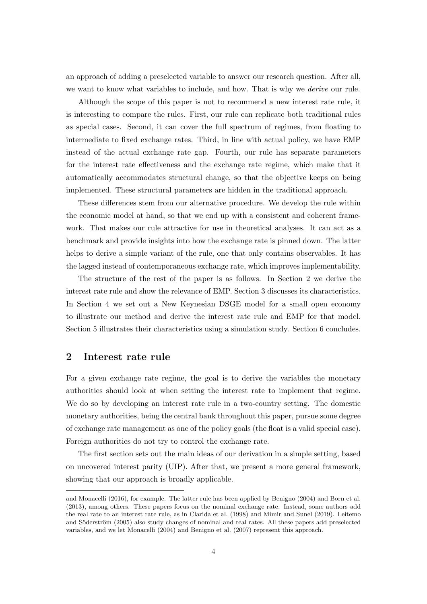an approach of adding a preselected variable to answer our research question. After all, we want to know what variables to include, and how. That is why we derive our rule.

Although the scope of this paper is not to recommend a new interest rate rule, it is interesting to compare the rules. First, our rule can replicate both traditional rules as special cases. Second, it can cover the full spectrum of regimes, from floating to intermediate to fixed exchange rates. Third, in line with actual policy, we have EMP instead of the actual exchange rate gap. Fourth, our rule has separate parameters for the interest rate effectiveness and the exchange rate regime, which make that it automatically accommodates structural change, so that the objective keeps on being implemented. These structural parameters are hidden in the traditional approach.

These differences stem from our alternative procedure. We develop the rule within the economic model at hand, so that we end up with a consistent and coherent framework. That makes our rule attractive for use in theoretical analyses. It can act as a benchmark and provide insights into how the exchange rate is pinned down. The latter helps to derive a simple variant of the rule, one that only contains observables. It has the lagged instead of contemporaneous exchange rate, which improves implementability.

The structure of the rest of the paper is as follows. In Section 2 we derive the interest rate rule and show the relevance of EMP. Section 3 discusses its characteristics. In Section 4 we set out a New Keynesian DSGE model for a small open economy to illustrate our method and derive the interest rate rule and EMP for that model. Section 5 illustrates their characteristics using a simulation study. Section 6 concludes.

## 2 Interest rate rule

For a given exchange rate regime, the goal is to derive the variables the monetary authorities should look at when setting the interest rate to implement that regime. We do so by developing an interest rate rule in a two-country setting. The domestic monetary authorities, being the central bank throughout this paper, pursue some degree of exchange rate management as one of the policy goals (the float is a valid special case). Foreign authorities do not try to control the exchange rate.

The first section sets out the main ideas of our derivation in a simple setting, based on uncovered interest parity (UIP). After that, we present a more general framework, showing that our approach is broadly applicable.

and Monacelli (2016), for example. The latter rule has been applied by Benigno (2004) and Born et al. (2013), among others. These papers focus on the nominal exchange rate. Instead, some authors add the real rate to an interest rate rule, as in Clarida et al. (1998) and Mimir and Sunel (2019). Leitemo and Söderström (2005) also study changes of nominal and real rates. All these papers add preselected variables, and we let Monacelli (2004) and Benigno et al. (2007) represent this approach.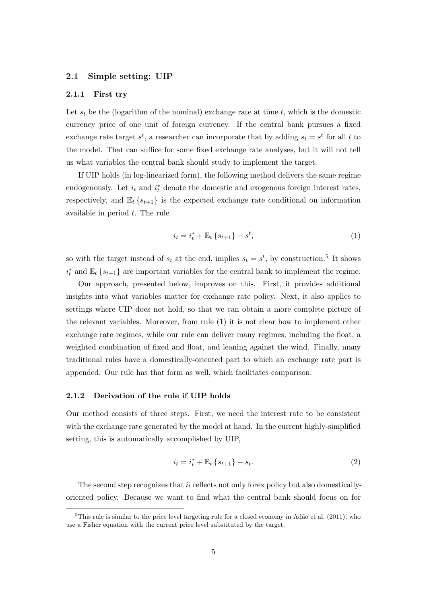## 2.1 Simple setting: UIP

#### 2.1.1 First try

Let  $s_t$  be the (logarithm of the nominal) exchange rate at time t, which is the domestic currency price of one unit of foreign currency. If the central bank pursues a fixed exchange rate target  $s^t$ , a researcher can incorporate that by adding  $s_t = s^t$  for all t to the model. That can suffice for some fixed exchange rate analyses, but it will not tell us what variables the central bank should study to implement the target.

If UIP holds (in log-linearized form), the following method delivers the same regime endogenously. Let  $i_t$  and  $i_t^*$  denote the domestic and exogenous foreign interest rates, respectively, and  $\mathbb{E}_{t} \{s_{t+1}\}\$  is the expected exchange rate conditional on information available in period t. The rule

$$
i_t = i_t^* + \mathbb{E}_t \left\{ s_{t+1} \right\} - s^t,\tag{1}
$$

so with the target instead of  $s_t$  at the end, implies  $s_t = s^t$ , by construction.<sup>5</sup> It shows  $i_t^*$  and  $\mathbb{E}_t\{s_{t+1}\}\)$  are important variables for the central bank to implement the regime.

Our approach, presented below, improves on this. First, it provides additional insights into what variables matter for exchange rate policy. Next, it also applies to settings where UIP does not hold, so that we can obtain a more complete picture of the relevant variables. Moreover, from rule (1) it is not clear how to implement other exchange rate regimes, while our rule can deliver many regimes, including the float, a weighted combination of fixed and float, and leaning against the wind. Finally, many traditional rules have a domestically-oriented part to which an exchange rate part is appended. Our rule has that form as well, which facilitates comparison.

## 2.1.2 Derivation of the rule if UIP holds

Our method consists of three steps. First, we need the interest rate to be consistent with the exchange rate generated by the model at hand. In the current highly-simplified setting, this is automatically accomplished by UIP,

$$
i_t = i_t^* + \mathbb{E}_t \{ s_{t+1} \} - s_t.
$$
 (2)

The second step recognizes that  $i_t$  reflects not only forex policy but also domesticallyoriented policy. Because we want to find what the central bank should focus on for

 $5$ This rule is similar to the price level targeting rule for a closed economy in Adão et al. (2011), who use a Fisher equation with the current price level substituted by the target.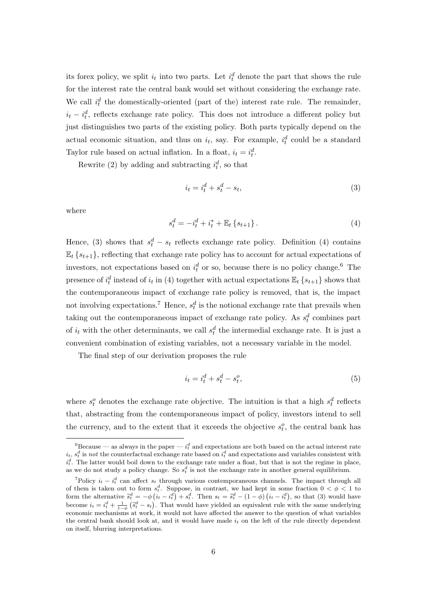its forex policy, we split  $i_t$  into two parts. Let  $i_t^d$  denote the part that shows the rule for the interest rate the central bank would set without considering the exchange rate. We call  $i_t^d$  the domestically-oriented (part of the) interest rate rule. The remainder,  $i_t - i_t^d$ , reflects exchange rate policy. This does not introduce a different policy but just distinguishes two parts of the existing policy. Both parts typically depend on the actual economic situation, and thus on  $i_t$ , say. For example,  $i_t^d$  could be a standard Taylor rule based on actual inflation. In a float,  $i_t = i_t^d$ .

Rewrite (2) by adding and subtracting  $i_t^d$ , so that

$$
i_t = i_t^d + s_t^d - s_t,\tag{3}
$$

where

$$
s_t^d = -i_t^d + i_t^* + \mathbb{E}_t \left\{ s_{t+1} \right\}.
$$
 (4)

Hence, (3) shows that  $s_t^d - s_t$  reflects exchange rate policy. Definition (4) contains  $\mathbb{E}_{t} \{s_{t+1}\}\$ , reflecting that exchange rate policy has to account for actual expectations of investors, not expectations based on  $i_t^d$  or so, because there is no policy change.<sup>6</sup> The presence of  $i_t^d$  instead of  $i_t$  in (4) together with actual expectations  $\mathbb{E}_t$   $\{s_{t+1}\}$  shows that the contemporaneous impact of exchange rate policy is removed, that is, the impact not involving expectations.<sup>7</sup> Hence,  $s_t^d$  is the notional exchange rate that prevails when taking out the contemporaneous impact of exchange rate policy. As  $s_t^d$  combines part of  $i_t$  with the other determinants, we call  $s_t^d$  the intermedial exchange rate. It is just a convenient combination of existing variables, not a necessary variable in the model.

The final step of our derivation proposes the rule

$$
i_t = i_t^d + s_t^d - s_t^o,\tag{5}
$$

where  $s_t^o$  denotes the exchange rate objective. The intuition is that a high  $s_t^d$  reflects that, abstracting from the contemporaneous impact of policy, investors intend to sell the currency, and to the extent that it exceeds the objective  $s_t^o$ , the central bank has

 ${}^{6}$ Because — as always in the paper —  $i_t^d$  and expectations are both based on the actual interest rate  $i_t$ ,  $s_t^d$  is not the counterfactual exchange rate based on  $i_t^d$  and expectations and variables consistent with  $i_t^d$ . The latter would boil down to the exchange rate under a float, but that is not the regime in place, as we do not study a policy change. So  $s_t^d$  is not the exchange rate in another general equilibrium.

<sup>&</sup>lt;sup>7</sup>Policy  $i_t - i_t^d$  can affect  $s_t$  through various contemporaneous channels. The impact through all of them is taken out to form  $s_t^d$ . Suppose, in contrast, we had kept in some fraction  $0 < \phi < 1$  to form the alternative  $\tilde{s}_t^d = -\phi \left( i_t - i_t^d \right) + s_t^d$ . Then  $s_t = \tilde{s}_t^d - (1 - \phi) \left( i_t - i_t^d \right)$ , so that (3) would have become  $i_t = i_t^d + \frac{1}{1-\phi} (\tilde{s}_t^d - s_t)$ . That would have yielded an equivalent rule with the same underlying economic mechanisms at work, it would not have affected the answer to the question of what variables the central bank should look at, and it would have made  $i_t$  on the left of the rule directly dependent on itself, blurring interpretations.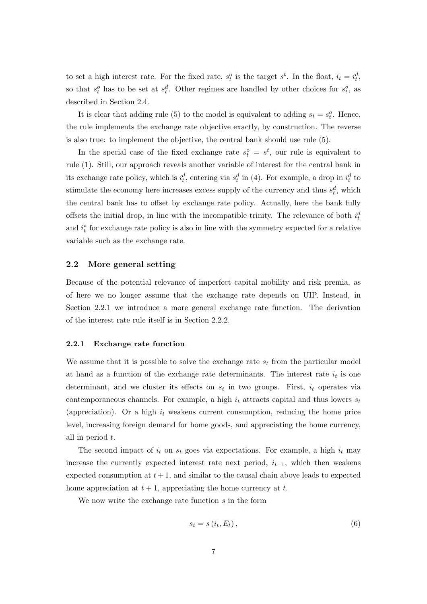to set a high interest rate. For the fixed rate,  $s_t^o$  is the target  $s_t^t$ . In the float,  $i_t = i_t^d$ , so that  $s_t^o$  has to be set at  $s_t^d$ . Other regimes are handled by other choices for  $s_t^o$ , as described in Section 2.4.

It is clear that adding rule (5) to the model is equivalent to adding  $s_t = s_t^o$ . Hence, the rule implements the exchange rate objective exactly, by construction. The reverse is also true: to implement the objective, the central bank should use rule (5).

In the special case of the fixed exchange rate  $s_t^o = s_t^t$ , our rule is equivalent to rule (1). Still, our approach reveals another variable of interest for the central bank in its exchange rate policy, which is  $i_t^d$ , entering via  $s_t^d$  in (4). For example, a drop in  $i_t^d$  to stimulate the economy here increases excess supply of the currency and thus  $s_t^d$ , which the central bank has to offset by exchange rate policy. Actually, here the bank fully offsets the initial drop, in line with the incompatible trinity. The relevance of both  $i_t^d$ and  $i_t^*$  for exchange rate policy is also in line with the symmetry expected for a relative variable such as the exchange rate.

## 2.2 More general setting

Because of the potential relevance of imperfect capital mobility and risk premia, as of here we no longer assume that the exchange rate depends on UIP. Instead, in Section 2.2.1 we introduce a more general exchange rate function. The derivation of the interest rate rule itself is in Section 2.2.2.

#### 2.2.1 Exchange rate function

We assume that it is possible to solve the exchange rate  $s_t$  from the particular model at hand as a function of the exchange rate determinants. The interest rate  $i_t$  is one determinant, and we cluster its effects on  $s_t$  in two groups. First,  $i_t$  operates via contemporaneous channels. For example, a high  $i_t$  attracts capital and thus lowers  $s_t$ (appreciation). Or a high  $i_t$  weakens current consumption, reducing the home price level, increasing foreign demand for home goods, and appreciating the home currency, all in period t.

The second impact of  $i_t$  on  $s_t$  goes via expectations. For example, a high  $i_t$  may increase the currently expected interest rate next period,  $i_{t+1}$ , which then weakens expected consumption at  $t + 1$ , and similar to the causal chain above leads to expected home appreciation at  $t + 1$ , appreciating the home currency at t.

We now write the exchange rate function s in the form

$$
s_t = s(i_t, E_t), \tag{6}
$$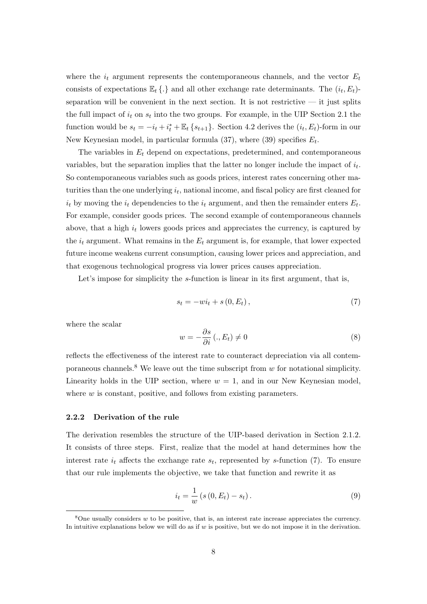where the  $i_t$  argument represents the contemporaneous channels, and the vector  $E_t$ consists of expectations  $\mathbb{E}_t \{.\}$  and all other exchange rate determinants. The  $(i_t, E_t)$ separation will be convenient in the next section. It is not restrictive  $-$  it just splits the full impact of  $i_t$  on  $s_t$  into the two groups. For example, in the UIP Section 2.1 the function would be  $s_t = -i_t + i_t^* + \mathbb{E}_t \{s_{t+1}\}\.$  Section 4.2 derives the  $(i_t, E_t)$ -form in our New Keynesian model, in particular formula  $(37)$ , where  $(39)$  specifies  $E_t$ .

The variables in  $E_t$  depend on expectations, predetermined, and contemporaneous variables, but the separation implies that the latter no longer include the impact of  $i_t$ . So contemporaneous variables such as goods prices, interest rates concerning other maturities than the one underlying  $i_t$ , national income, and fiscal policy are first cleaned for  $i_t$  by moving the  $i_t$  dependencies to the  $i_t$  argument, and then the remainder enters  $E_t$ . For example, consider goods prices. The second example of contemporaneous channels above, that a high  $i_t$  lowers goods prices and appreciates the currency, is captured by the  $i_t$  argument. What remains in the  $E_t$  argument is, for example, that lower expected future income weakens current consumption, causing lower prices and appreciation, and that exogenous technological progress via lower prices causes appreciation.

Let's impose for simplicity the s-function is linear in its first argument, that is,

$$
s_t = -wi_t + s(0, E_t), \qquad (7)
$$

where the scalar

$$
w = -\frac{\partial s}{\partial i} \left( ., E_t \right) \neq 0 \tag{8}
$$

reflects the effectiveness of the interest rate to counteract depreciation via all contemporaneous channels.<sup>8</sup> We leave out the time subscript from  $w$  for notational simplicity. Linearity holds in the UIP section, where  $w = 1$ , and in our New Keynesian model, where  $w$  is constant, positive, and follows from existing parameters.

#### 2.2.2 Derivation of the rule

The derivation resembles the structure of the UIP-based derivation in Section 2.1.2. It consists of three steps. First, realize that the model at hand determines how the interest rate  $i_t$  affects the exchange rate  $s_t$ , represented by s-function (7). To ensure that our rule implements the objective, we take that function and rewrite it as

$$
i_t = \frac{1}{w} (s (0, E_t) - s_t).
$$
 (9)

 $8$ One usually considers w to be positive, that is, an interest rate increase appreciates the currency. In intuitive explanations below we will do as if  $w$  is positive, but we do not impose it in the derivation.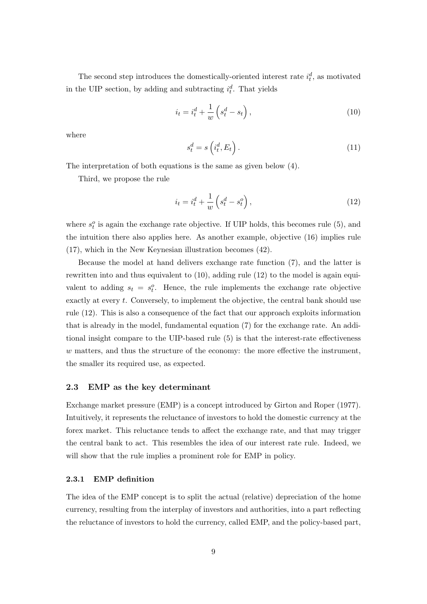The second step introduces the domestically-oriented interest rate  $i_t^d$ , as motivated in the UIP section, by adding and subtracting  $i_t^d$ . That yields

$$
i_t = i_t^d + \frac{1}{w} \left( s_t^d - s_t \right),\tag{10}
$$

where

$$
s_t^d = s\left(i_t^d, E_t\right). \tag{11}
$$

The interpretation of both equations is the same as given below (4).

Third, we propose the rule

$$
i_t = i_t^d + \frac{1}{w} \left( s_t^d - s_t^o \right),\tag{12}
$$

where  $s_t^o$  is again the exchange rate objective. If UIP holds, this becomes rule (5), and the intuition there also applies here. As another example, objective (16) implies rule (17), which in the New Keynesian illustration becomes (42).

Because the model at hand delivers exchange rate function (7), and the latter is rewritten into and thus equivalent to (10), adding rule (12) to the model is again equivalent to adding  $s_t = s_t^o$ . Hence, the rule implements the exchange rate objective exactly at every t. Conversely, to implement the objective, the central bank should use rule (12). This is also a consequence of the fact that our approach exploits information that is already in the model, fundamental equation (7) for the exchange rate. An additional insight compare to the UIP-based rule (5) is that the interest-rate effectiveness w matters, and thus the structure of the economy: the more effective the instrument, the smaller its required use, as expected.

### 2.3 EMP as the key determinant

Exchange market pressure (EMP) is a concept introduced by Girton and Roper (1977). Intuitively, it represents the reluctance of investors to hold the domestic currency at the forex market. This reluctance tends to affect the exchange rate, and that may trigger the central bank to act. This resembles the idea of our interest rate rule. Indeed, we will show that the rule implies a prominent role for EMP in policy.

## 2.3.1 EMP definition

The idea of the EMP concept is to split the actual (relative) depreciation of the home currency, resulting from the interplay of investors and authorities, into a part reflecting the reluctance of investors to hold the currency, called EMP, and the policy-based part,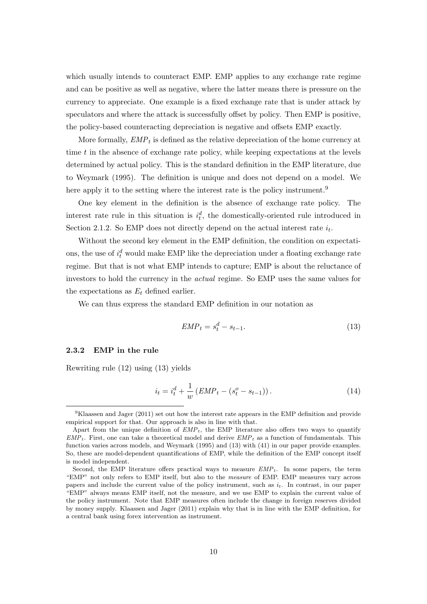which usually intends to counteract EMP. EMP applies to any exchange rate regime and can be positive as well as negative, where the latter means there is pressure on the currency to appreciate. One example is a fixed exchange rate that is under attack by speculators and where the attack is successfully offset by policy. Then EMP is positive, the policy-based counteracting depreciation is negative and offsets EMP exactly.

More formally,  $EMP_t$  is defined as the relative depreciation of the home currency at time  $t$  in the absence of exchange rate policy, while keeping expectations at the levels determined by actual policy. This is the standard definition in the EMP literature, due to Weymark (1995). The definition is unique and does not depend on a model. We here apply it to the setting where the interest rate is the policy instrument.<sup>9</sup>

One key element in the definition is the absence of exchange rate policy. The interest rate rule in this situation is  $i_t^d$ , the domestically-oriented rule introduced in Section 2.1.2. So EMP does not directly depend on the actual interest rate  $i_t$ .

Without the second key element in the EMP definition, the condition on expectations, the use of  $i_t^d$  would make EMP like the depreciation under a floating exchange rate regime. But that is not what EMP intends to capture; EMP is about the reluctance of investors to hold the currency in the actual regime. So EMP uses the same values for the expectations as  $E_t$  defined earlier.

We can thus express the standard EMP definition in our notation as

$$
EMP_t = s_t^d - s_{t-1}.\tag{13}
$$

## 2.3.2 EMP in the rule

Rewriting rule (12) using (13) yields

$$
i_t = i_t^d + \frac{1}{w} \left( EMP_t - (s_t^o - s_{t-1}) \right). \tag{14}
$$

<sup>9</sup>Klaassen and Jager (2011) set out how the interest rate appears in the EMP definition and provide empirical support for that. Our approach is also in line with that.

Apart from the unique definition of  $EMP<sub>t</sub>$ , the EMP literature also offers two ways to quantify  $EMP_t$ . First, one can take a theoretical model and derive  $EMP_t$  as a function of fundamentals. This function varies across models, and Weymark (1995) and (13) with (41) in our paper provide examples. So, these are model-dependent quantifications of EMP, while the definition of the EMP concept itself is model independent.

Second, the EMP literature offers practical ways to measure  $EMP_t$ . In some papers, the term "EMP" not only refers to EMP itself, but also to the measure of EMP. EMP measures vary across papers and include the current value of the policy instrument, such as  $i_t$ . In contrast, in our paper "EMP" always means EMP itself, not the measure, and we use EMP to explain the current value of the policy instrument. Note that EMP measures often include the change in foreign reserves divided by money supply. Klaassen and Jager (2011) explain why that is in line with the EMP definition, for a central bank using forex intervention as instrument.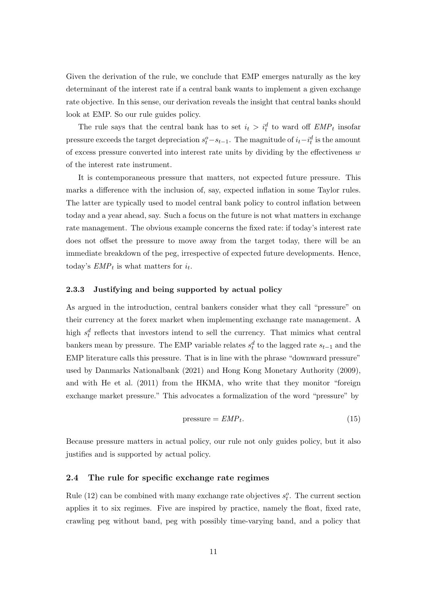Given the derivation of the rule, we conclude that EMP emerges naturally as the key determinant of the interest rate if a central bank wants to implement a given exchange rate objective. In this sense, our derivation reveals the insight that central banks should look at EMP. So our rule guides policy.

The rule says that the central bank has to set  $i_t > i_t^d$  to ward off  $EMP_t$  insofar pressure exceeds the target depreciation  $s_t^o - s_{t-1}$ . The magnitude of  $i_t - i_t^d$  is the amount of excess pressure converted into interest rate units by dividing by the effectiveness  $w$ of the interest rate instrument.

It is contemporaneous pressure that matters, not expected future pressure. This marks a difference with the inclusion of, say, expected inflation in some Taylor rules. The latter are typically used to model central bank policy to control inflation between today and a year ahead, say. Such a focus on the future is not what matters in exchange rate management. The obvious example concerns the fixed rate: if today's interest rate does not offset the pressure to move away from the target today, there will be an immediate breakdown of the peg, irrespective of expected future developments. Hence, today's  $EMP_t$  is what matters for  $i_t$ .

#### 2.3.3 Justifying and being supported by actual policy

As argued in the introduction, central bankers consider what they call "pressure" on their currency at the forex market when implementing exchange rate management. A high  $s_t^d$  reflects that investors intend to sell the currency. That mimics what central bankers mean by pressure. The EMP variable relates  $s_t^d$  to the lagged rate  $s_{t-1}$  and the EMP literature calls this pressure. That is in line with the phrase "downward pressure" used by Danmarks Nationalbank (2021) and Hong Kong Monetary Authority (2009), and with He et al. (2011) from the HKMA, who write that they monitor "foreign exchange market pressure." This advocates a formalization of the word "pressure" by

$$
pressure = EMP_t. \t\t(15)
$$

Because pressure matters in actual policy, our rule not only guides policy, but it also justifies and is supported by actual policy.

## 2.4 The rule for specific exchange rate regimes

Rule (12) can be combined with many exchange rate objectives  $s_t^o$ . The current section applies it to six regimes. Five are inspired by practice, namely the float, fixed rate, crawling peg without band, peg with possibly time-varying band, and a policy that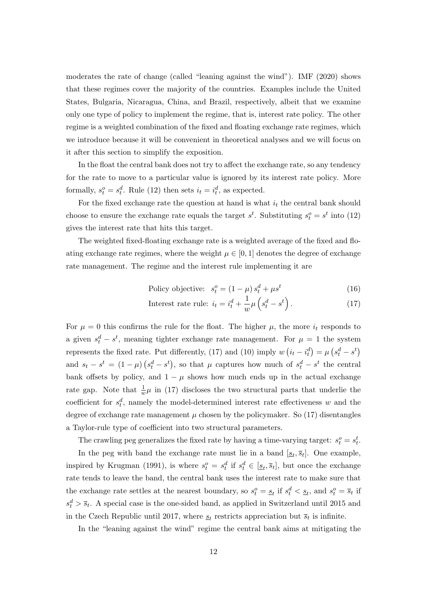moderates the rate of change (called "leaning against the wind"). IMF (2020) shows that these regimes cover the majority of the countries. Examples include the United States, Bulgaria, Nicaragua, China, and Brazil, respectively, albeit that we examine only one type of policy to implement the regime, that is, interest rate policy. The other regime is a weighted combination of the fixed and floating exchange rate regimes, which we introduce because it will be convenient in theoretical analyses and we will focus on it after this section to simplify the exposition.

In the float the central bank does not try to affect the exchange rate, so any tendency for the rate to move to a particular value is ignored by its interest rate policy. More formally,  $s_t^o = s_t^d$ . Rule (12) then sets  $i_t = i_t^d$ , as expected.

For the fixed exchange rate the question at hand is what  $i_t$  the central bank should choose to ensure the exchange rate equals the target  $s^t$ . Substituting  $s^o_t = s^t$  into (12) gives the interest rate that hits this target.

The weighted fixed-floating exchange rate is a weighted average of the fixed and floating exchange rate regimes, where the weight  $\mu \in [0, 1]$  denotes the degree of exchange rate management. The regime and the interest rule implementing it are

$$
Policy objective: s_t^o = (1 - \mu) s_t^d + \mu s^t
$$
\n(16)

Interest rate rule: 
$$
i_t = i_t^d + \frac{1}{w} \mu \left( s_t^d - s^t \right)
$$
. (17)

For  $\mu = 0$  this confirms the rule for the float. The higher  $\mu$ , the more  $i_t$  responds to a given  $s_t^d - s^t$ , meaning tighter exchange rate management. For  $\mu = 1$  the system represents the fixed rate. Put differently, (17) and (10) imply  $w(i_t - i_t^d) = \mu (s_t^d - s^t)$ and  $s_t - s^t = (1 - \mu)(s_t^d - s^t)$ , so that  $\mu$  captures how much of  $s_t^d - s^t$  the central bank offsets by policy, and  $1 - \mu$  shows how much ends up in the actual exchange rate gap. Note that  $\frac{1}{w}\mu$  in (17) discloses the two structural parts that underlie the coefficient for  $s_t^d$ , namely the model-determined interest rate effectiveness w and the degree of exchange rate management  $\mu$  chosen by the policymaker. So (17) disentangles a Taylor-rule type of coefficient into two structural parameters.

The crawling peg generalizes the fixed rate by having a time-varying target:  $s_t^o = s_t^t$ .

In the peg with band the exchange rate must lie in a band  $[\underline{s}_t, \overline{s}_t]$ . One example, inspired by Krugman (1991), is where  $s_t^o = s_t^d$  if  $s_t^d \in [\underline{s}_t, \overline{s}_t]$ , but once the exchange rate tends to leave the band, the central bank uses the interest rate to make sure that the exchange rate settles at the nearest boundary, so  $s_t^o = s_t$  if  $s_t^d < s_t$ , and  $s_t^o = \overline{s}_t$  if  $s_t^d > \bar{s}_t$ . A special case is the one-sided band, as applied in Switzerland until 2015 and in the Czech Republic until 2017, where  $s_t$  restricts appreciation but  $\overline{s}_t$  is infinite.

In the "leaning against the wind" regime the central bank aims at mitigating the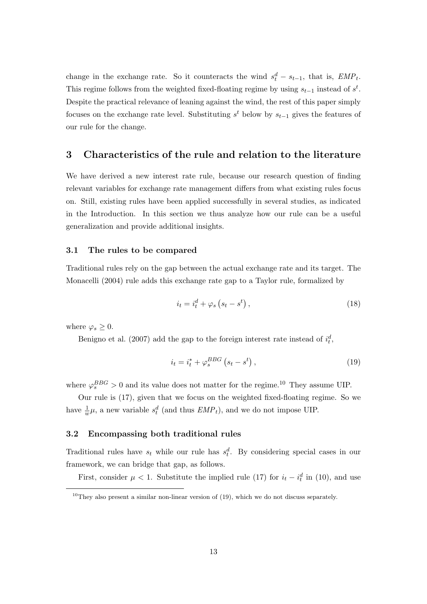change in the exchange rate. So it counteracts the wind  $s_t^d - s_{t-1}$ , that is,  $EMP_t$ . This regime follows from the weighted fixed-floating regime by using  $s_{t-1}$  instead of  $s^t$ . Despite the practical relevance of leaning against the wind, the rest of this paper simply focuses on the exchange rate level. Substituting  $s<sup>t</sup>$  below by  $s_{t-1}$  gives the features of our rule for the change.

# 3 Characteristics of the rule and relation to the literature

We have derived a new interest rate rule, because our research question of finding relevant variables for exchange rate management differs from what existing rules focus on. Still, existing rules have been applied successfully in several studies, as indicated in the Introduction. In this section we thus analyze how our rule can be a useful generalization and provide additional insights.

## 3.1 The rules to be compared

Traditional rules rely on the gap between the actual exchange rate and its target. The Monacelli (2004) rule adds this exchange rate gap to a Taylor rule, formalized by

$$
i_t = i_t^d + \varphi_s \left( s_t - s^t \right), \tag{18}
$$

where  $\varphi_s \geq 0$ .

Benigno et al. (2007) add the gap to the foreign interest rate instead of  $i_t^d$ ,

$$
i_t = i_t^* + \varphi_s^{BBG} \left( s_t - s^t \right), \tag{19}
$$

where  $\varphi_s^{BBG} > 0$  and its value does not matter for the regime.<sup>10</sup> They assume UIP.

Our rule is (17), given that we focus on the weighted fixed-floating regime. So we have  $\frac{1}{w}\mu$ , a new variable  $s_t^d$  (and thus  $EMP_t$ ), and we do not impose UIP.

## 3.2 Encompassing both traditional rules

Traditional rules have  $s_t$  while our rule has  $s_t^d$ . By considering special cases in our framework, we can bridge that gap, as follows.

First, consider  $\mu$  < 1. Substitute the implied rule (17) for  $i_t - i_t^d$  in (10), and use

 $10$ They also present a similar non-linear version of (19), which we do not discuss separately.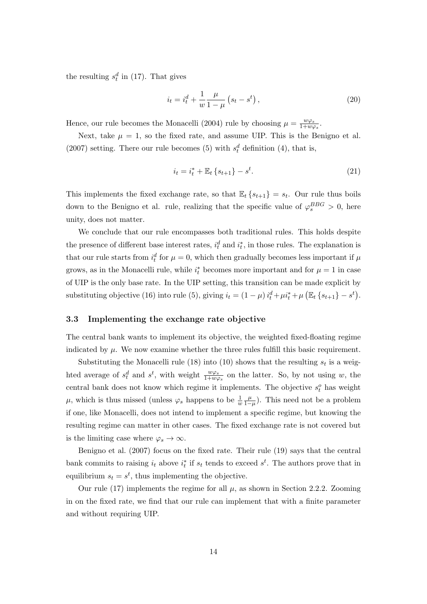the resulting  $s_t^d$  in (17). That gives

$$
i_t = i_t^d + \frac{1}{w} \frac{\mu}{1 - \mu} \left( s_t - s^t \right), \tag{20}
$$

Hence, our rule becomes the Monacelli (2004) rule by choosing  $\mu = \frac{w\varphi_s}{1 + w\varphi_s}$  $\frac{w\varphi_s}{1+w\varphi_s}$ .

Next, take  $\mu = 1$ , so the fixed rate, and assume UIP. This is the Benigno et al. (2007) setting. There our rule becomes (5) with  $s_t^d$  definition (4), that is,

$$
i_t = i_t^* + \mathbb{E}_t \left\{ s_{t+1} \right\} - s^t. \tag{21}
$$

This implements the fixed exchange rate, so that  $\mathbb{E}_{t} \{s_{t+1}\} = s_t$ . Our rule thus boils down to the Benigno et al. rule, realizing that the specific value of  $\varphi_s^{BBG} > 0$ , here unity, does not matter.

We conclude that our rule encompasses both traditional rules. This holds despite the presence of different base interest rates,  $i_t^d$  and  $i_t^*$ , in those rules. The explanation is that our rule starts from  $i_t^d$  for  $\mu = 0$ , which then gradually becomes less important if  $\mu$ grows, as in the Monacelli rule, while  $i_t^*$  becomes more important and for  $\mu = 1$  in case of UIP is the only base rate. In the UIP setting, this transition can be made explicit by substituting objective (16) into rule (5), giving  $i_t = (1 - \mu) i_t^d + \mu i_t^* + \mu \left( \mathbb{E}_t \left\{ s_{t+1} \right\} - s^t \right)$ .

## 3.3 Implementing the exchange rate objective

The central bank wants to implement its objective, the weighted fixed-floating regime indicated by  $\mu$ . We now examine whether the three rules fulfill this basic requirement.

Substituting the Monacelli rule (18) into (10) shows that the resulting  $s_t$  is a weighted average of  $s_t^d$  and  $s^t$ , with weight  $\frac{w\varphi_s}{1+w\varphi_s}$  on the latter. So, by not using w, the central bank does not know which regime it implements. The objective  $s_t^o$  has weight  $\mu$ , which is thus missed (unless  $\varphi_s$  happens to be  $\frac{1}{w}$  $\mu$  $\frac{\mu}{1-\mu}$ ). This need not be a problem if one, like Monacelli, does not intend to implement a specific regime, but knowing the resulting regime can matter in other cases. The fixed exchange rate is not covered but is the limiting case where  $\varphi_s \to \infty$ .

Benigno et al. (2007) focus on the fixed rate. Their rule (19) says that the central bank commits to raising  $i_t$  above  $i_t^*$  if  $s_t$  tends to exceed  $s^t$ . The authors prove that in equilibrium  $s_t = s^t$ , thus implementing the objective.

Our rule (17) implements the regime for all  $\mu$ , as shown in Section 2.2.2. Zooming in on the fixed rate, we find that our rule can implement that with a finite parameter and without requiring UIP.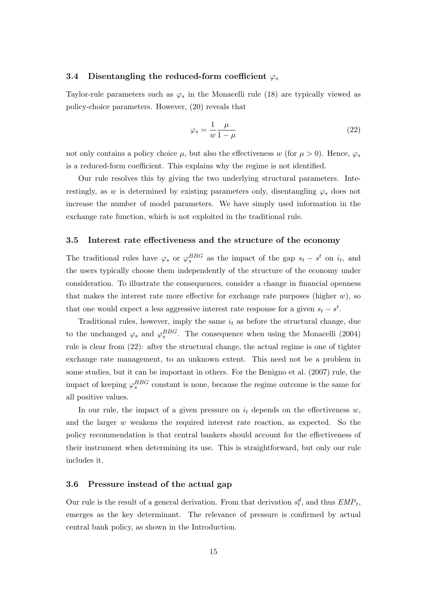## 3.4 Disentangling the reduced-form coefficient  $\varphi_s$

Taylor-rule parameters such as  $\varphi_s$  in the Monacelli rule (18) are typically viewed as policy-choice parameters. However, (20) reveals that

$$
\varphi_s = \frac{1}{w} \frac{\mu}{1 - \mu} \tag{22}
$$

not only contains a policy choice  $\mu$ , but also the effectiveness w (for  $\mu > 0$ ). Hence,  $\varphi_s$ is a reduced-form coefficient. This explains why the regime is not identified.

Our rule resolves this by giving the two underlying structural parameters. Interestingly, as w is determined by existing parameters only, disentangling  $\varphi_s$  does not increase the number of model parameters. We have simply used information in the exchange rate function, which is not exploited in the traditional rule.

## 3.5 Interest rate effectiveness and the structure of the economy

The traditional rules have  $\varphi_s$  or  $\varphi_s^{BBG}$  as the impact of the gap  $s_t - s^t$  on  $i_t$ , and the users typically choose them independently of the structure of the economy under consideration. To illustrate the consequences, consider a change in financial openness that makes the interest rate more effective for exchange rate purposes (higher  $w$ ), so that one would expect a less aggressive interest rate response for a given  $s_t - s^t$ .

Traditional rules, however, imply the same  $i_t$  as before the structural change, due to the unchanged  $\varphi_s$  and  $\varphi_s^{BBG}$ . The consequence when using the Monacelli (2004) rule is clear from (22): after the structural change, the actual regime is one of tighter exchange rate management, to an unknown extent. This need not be a problem in some studies, but it can be important in others. For the Benigno et al. (2007) rule, the impact of keeping  $\varphi_s^{BBG}$  constant is none, because the regime outcome is the same for all positive values.

In our rule, the impact of a given pressure on  $i_t$  depends on the effectiveness w, and the larger w weakens the required interest rate reaction, as expected. So the policy recommendation is that central bankers should account for the effectiveness of their instrument when determining its use. This is straightforward, but only our rule includes it.

## 3.6 Pressure instead of the actual gap

Our rule is the result of a general derivation. From that derivation  $s_t^d$ , and thus  $EMP_t$ , emerges as the key determinant. The relevance of pressure is confirmed by actual central bank policy, as shown in the Introduction.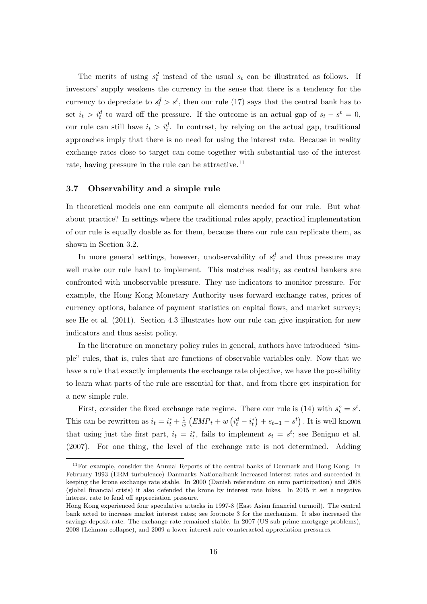The merits of using  $s_t^d$  instead of the usual  $s_t$  can be illustrated as follows. If investors' supply weakens the currency in the sense that there is a tendency for the currency to depreciate to  $s_t^d > s^t$ , then our rule (17) says that the central bank has to set  $i_t > i_t^d$  to ward off the pressure. If the outcome is an actual gap of  $s_t - s^t = 0$ , our rule can still have  $i_t > i_t^d$ . In contrast, by relying on the actual gap, traditional approaches imply that there is no need for using the interest rate. Because in reality exchange rates close to target can come together with substantial use of the interest rate, having pressure in the rule can be attractive.<sup>11</sup>

## 3.7 Observability and a simple rule

In theoretical models one can compute all elements needed for our rule. But what about practice? In settings where the traditional rules apply, practical implementation of our rule is equally doable as for them, because there our rule can replicate them, as shown in Section 3.2.

In more general settings, however, unobservability of  $s_t^d$  and thus pressure may well make our rule hard to implement. This matches reality, as central bankers are confronted with unobservable pressure. They use indicators to monitor pressure. For example, the Hong Kong Monetary Authority uses forward exchange rates, prices of currency options, balance of payment statistics on capital flows, and market surveys; see He et al. (2011). Section 4.3 illustrates how our rule can give inspiration for new indicators and thus assist policy.

In the literature on monetary policy rules in general, authors have introduced "simple" rules, that is, rules that are functions of observable variables only. Now that we have a rule that exactly implements the exchange rate objective, we have the possibility to learn what parts of the rule are essential for that, and from there get inspiration for a new simple rule.

First, consider the fixed exchange rate regime. There our rule is (14) with  $s_t^o = s^t$ . This can be rewritten as  $i_t = i_t^* + \frac{1}{u}$  $\frac{1}{w}\left( EMP_t + w\left( i^d_t - i^*_t \right) + s_{t-1} - s^t \right)$  . It is well known that using just the first part,  $i_t = i_t^*$ , fails to implement  $s_t = s^t$ ; see Benigno et al. (2007). For one thing, the level of the exchange rate is not determined. Adding

 $11$  For example, consider the Annual Reports of the central banks of Denmark and Hong Kong. In February 1993 (ERM turbulence) Danmarks Nationalbank increased interest rates and succeeded in keeping the krone exchange rate stable. In 2000 (Danish referendum on euro participation) and 2008 (global financial crisis) it also defended the krone by interest rate hikes. In 2015 it set a negative interest rate to fend off appreciation pressure.

Hong Kong experienced four speculative attacks in 1997-8 (East Asian financial turmoil). The central bank acted to increase market interest rates; see footnote 3 for the mechanism. It also increased the savings deposit rate. The exchange rate remained stable. In 2007 (US sub-prime mortgage problems), 2008 (Lehman collapse), and 2009 a lower interest rate counteracted appreciation pressures.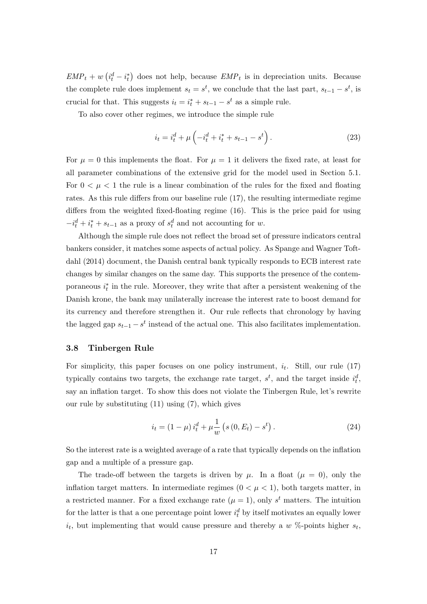$EMP_t + w(t_t^d - i_t^*)$  does not help, because  $EMP_t$  is in depreciation units. Because the complete rule does implement  $s_t = s^t$ , we conclude that the last part,  $s_{t-1} - s^t$ , is crucial for that. This suggests  $i_t = i_t^* + s_{t-1} - s^t$  as a simple rule.

To also cover other regimes, we introduce the simple rule

$$
i_t = i_t^d + \mu \left( -i_t^d + i_t^* + s_{t-1} - s^t \right). \tag{23}
$$

For  $\mu = 0$  this implements the float. For  $\mu = 1$  it delivers the fixed rate, at least for all parameter combinations of the extensive grid for the model used in Section 5.1. For  $0 < \mu < 1$  the rule is a linear combination of the rules for the fixed and floating rates. As this rule differs from our baseline rule (17), the resulting intermediate regime differs from the weighted fixed-floating regime (16). This is the price paid for using  $-i_t^d + i_t^* + s_{t-1}$  as a proxy of  $s_t^d$  and not accounting for w.

Although the simple rule does not reflect the broad set of pressure indicators central bankers consider, it matches some aspects of actual policy. As Spange and Wagner Toftdahl (2014) document, the Danish central bank typically responds to ECB interest rate changes by similar changes on the same day. This supports the presence of the contemporaneous  $i_t^*$  in the rule. Moreover, they write that after a persistent weakening of the Danish krone, the bank may unilaterally increase the interest rate to boost demand for its currency and therefore strengthen it. Our rule reflects that chronology by having the lagged gap  $s_{t-1} - s^t$  instead of the actual one. This also facilitates implementation.

## 3.8 Tinbergen Rule

For simplicity, this paper focuses on one policy instrument,  $i_t$ . Still, our rule (17) typically contains two targets, the exchange rate target,  $s^t$ , and the target inside  $i_t^d$ , say an inflation target. To show this does not violate the Tinbergen Rule, let's rewrite our rule by substituting (11) using (7), which gives

$$
i_t = (1 - \mu) i_t^d + \mu \frac{1}{w} (s (0, E_t) - s^t).
$$
 (24)

So the interest rate is a weighted average of a rate that typically depends on the inflation gap and a multiple of a pressure gap.

The trade-off between the targets is driven by  $\mu$ . In a float  $(\mu = 0)$ , only the inflation target matters. In intermediate regimes  $(0 < \mu < 1)$ , both targets matter, in a restricted manner. For a fixed exchange rate  $(\mu = 1)$ , only s<sup>t</sup> matters. The intuition for the latter is that a one percentage point lower  $i_t^d$  by itself motivates an equally lower  $i_t$ , but implementing that would cause pressure and thereby a w %-points higher  $s_t$ ,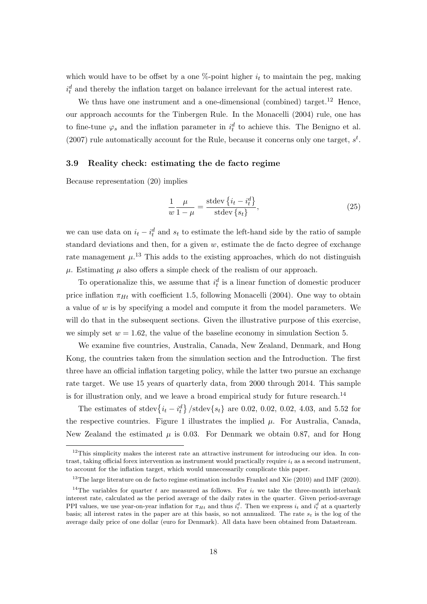which would have to be offset by a one  $\%$ -point higher  $i_t$  to maintain the peg, making  $i_t^d$  and thereby the inflation target on balance irrelevant for the actual interest rate.

We thus have one instrument and a one-dimensional (combined) target.<sup>12</sup> Hence, our approach accounts for the Tinbergen Rule. In the Monacelli (2004) rule, one has to fine-tune  $\varphi_s$  and the inflation parameter in  $i_t^d$  to achieve this. The Benigno et al. (2007) rule automatically account for the Rule, because it concerns only one target,  $s^t$ .

## 3.9 Reality check: estimating the de facto regime

Because representation (20) implies

$$
\frac{1}{w} \frac{\mu}{1-\mu} = \frac{\text{stdev}\left\{i_t - i_t^d\right\}}{\text{stdev}\left\{s_t\right\}},\tag{25}
$$

we can use data on  $i_t - i_t^d$  and  $s_t$  to estimate the left-hand side by the ratio of sample standard deviations and then, for a given  $w$ , estimate the de facto degree of exchange rate management  $\mu$ <sup>13</sup>. This adds to the existing approaches, which do not distinguish  $\mu$ . Estimating  $\mu$  also offers a simple check of the realism of our approach.

To operationalize this, we assume that  $i_t^d$  is a linear function of domestic producer price inflation  $\pi_{Ht}$  with coefficient 1.5, following Monacelli (2004). One way to obtain a value of  $w$  is by specifying a model and compute it from the model parameters. We will do that in the subsequent sections. Given the illustrative purpose of this exercise, we simply set  $w = 1.62$ , the value of the baseline economy in simulation Section 5.

We examine five countries, Australia, Canada, New Zealand, Denmark, and Hong Kong, the countries taken from the simulation section and the Introduction. The first three have an official inflation targeting policy, while the latter two pursue an exchange rate target. We use 15 years of quarterly data, from 2000 through 2014. This sample is for illustration only, and we leave a broad empirical study for future research.<sup>14</sup>

The estimates of stdev ${i_t - i_t^d}$  /stdev ${s_t}$  are 0.02, 0.02, 0.02, 4.03, and 5.52 for the respective countries. Figure 1 illustrates the implied  $\mu$ . For Australia, Canada, New Zealand the estimated  $\mu$  is 0.03. For Denmark we obtain 0.87, and for Hong

 $12$ This simplicity makes the interest rate an attractive instrument for introducing our idea. In contrast, taking official forex intervention as instrument would practically require  $i_t$  as a second instrument, to account for the inflation target, which would unnecessarily complicate this paper.

 $13$ The large literature on de facto regime estimation includes Frankel and Xie (2010) and IMF (2020).

<sup>&</sup>lt;sup>14</sup>The variables for quarter t are measured as follows. For  $i_t$  we take the three-month interbank interest rate, calculated as the period average of the daily rates in the quarter. Given period-average PPI values, we use year-on-year inflation for  $\pi_{Ht}$  and thus  $i_t^d$ . Then we express  $i_t$  and  $i_t^d$  at a quarterly basis; all interest rates in the paper are at this basis, so not annualized. The rate  $s_t$  is the log of the average daily price of one dollar (euro for Denmark). All data have been obtained from Datastream.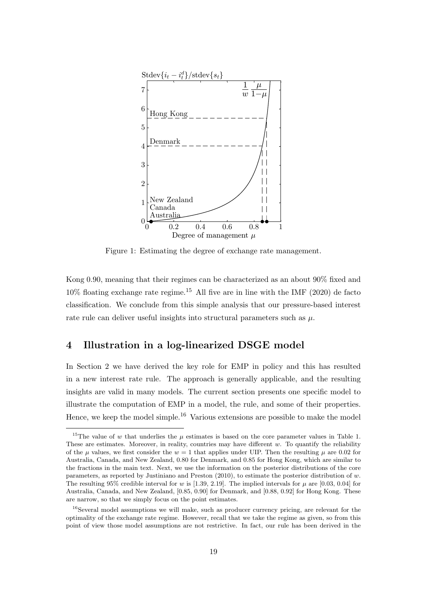

Figure 1: Estimating the degree of exchange rate management.

Kong 0.90, meaning that their regimes can be characterized as an about 90% fixed and 10% floating exchange rate regime.<sup>15</sup> All five are in line with the IMF (2020) de facto classification. We conclude from this simple analysis that our pressure-based interest rate rule can deliver useful insights into structural parameters such as  $\mu$ .

## 4 Illustration in a log-linearized DSGE model

In Section 2 we have derived the key role for EMP in policy and this has resulted in a new interest rate rule. The approach is generally applicable, and the resulting insights are valid in many models. The current section presents one specific model to illustrate the computation of EMP in a model, the rule, and some of their properties. Hence, we keep the model simple.<sup>16</sup> Various extensions are possible to make the model

<sup>&</sup>lt;sup>15</sup>The value of w that underlies the  $\mu$  estimates is based on the core parameter values in Table 1. These are estimates. Moreover, in reality, countries may have different  $w$ . To quantify the reliability of the  $\mu$  values, we first consider the  $w = 1$  that applies under UIP. Then the resulting  $\mu$  are 0.02 for Australia, Canada, and New Zealand, 0.80 for Denmark, and 0.85 for Hong Kong, which are similar to the fractions in the main text. Next, we use the information on the posterior distributions of the core parameters, as reported by Justiniano and Preston (2010), to estimate the posterior distribution of w. The resulting 95% credible interval for w is [1.39, 2.19]. The implied intervals for  $\mu$  are [0.03, 0.04] for Australia, Canada, and New Zealand, [0.85, 0.90] for Denmark, and [0.88, 0.92] for Hong Kong. These are narrow, so that we simply focus on the point estimates.

<sup>&</sup>lt;sup>16</sup>Several model assumptions we will make, such as producer currency pricing, are relevant for the optimality of the exchange rate regime. However, recall that we take the regime as given, so from this point of view those model assumptions are not restrictive. In fact, our rule has been derived in the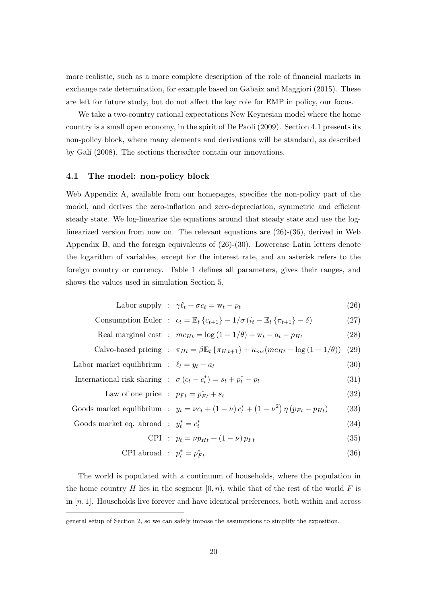more realistic, such as a more complete description of the role of financial markets in exchange rate determination, for example based on Gabaix and Maggiori (2015). These are left for future study, but do not affect the key role for EMP in policy, our focus.

We take a two-country rational expectations New Keynesian model where the home country is a small open economy, in the spirit of De Paoli (2009). Section 4.1 presents its non-policy block, where many elements and derivations will be standard, as described by Galí (2008). The sections thereafter contain our innovations.

## 4.1 The model: non-policy block

Web Appendix A, available from our homepages, specifies the non-policy part of the model, and derives the zero-inflation and zero-depreciation, symmetric and efficient steady state. We log-linearize the equations around that steady state and use the loglinearized version from now on. The relevant equations are (26)-(36), derived in Web Appendix B, and the foreign equivalents of (26)-(30). Lowercase Latin letters denote the logarithm of variables, except for the interest rate, and an asterisk refers to the foreign country or currency. Table 1 defines all parameters, gives their ranges, and shows the values used in simulation Section 5.

$$
Labor supply: \gamma \ell_t + \sigma c_t = w_t - p_t \tag{26}
$$

$$
Consumption Euler : c_t = \mathbb{E}_t \left\{ c_{t+1} \right\} - 1/\sigma \left( i_t - \mathbb{E}_t \left\{ \pi_{t+1} \right\} - \delta \right) \tag{27}
$$

Real marginal cost : 
$$
mc_{Ht} = \log(1 - 1/\theta) + w_t - a_t - p_{Ht}
$$
 (28)

Calvo-based pricing : 
$$
\pi_{Ht} = \beta \mathbb{E}_t \{ \pi_{H,t+1} \} + \kappa_{mc} (mc_{Ht} - \log (1 - 1/\theta))
$$
 (29)

$$
Labor market equilibrium : \ell_t = y_t - a_t \tag{30}
$$

International risk sharing : 
$$
\sigma(c_t - c_t^*) = s_t + p_t^* - p_t
$$
 (31)

Law of one price : 
$$
p_{Ft} = p_{Ft}^* + s_t
$$
 (32)

Goods market equilibrium : 
$$
y_t = \nu c_t + (1 - \nu) c_t^* + (1 - \nu^2) \eta (p_{Ft} - p_{Ht})
$$
 (33)

$$
Goods market eq. abroad :  $y_t^* = c_t^*$  (34)
$$

$$
CPI : p_t = \nu p_{Ht} + (1 - \nu) p_{Ft}
$$
\n(35)

$$
CPI\text{ abroad}: p_t^* = p_{Ft}^*.
$$
\n
$$
(36)
$$

The world is populated with a continuum of households, where the population in the home country H lies in the segment  $[0, n)$ , while that of the rest of the world F is in  $[n, 1]$ . Households live forever and have identical preferences, both within and across

general setup of Section 2, so we can safely impose the assumptions to simplify the exposition.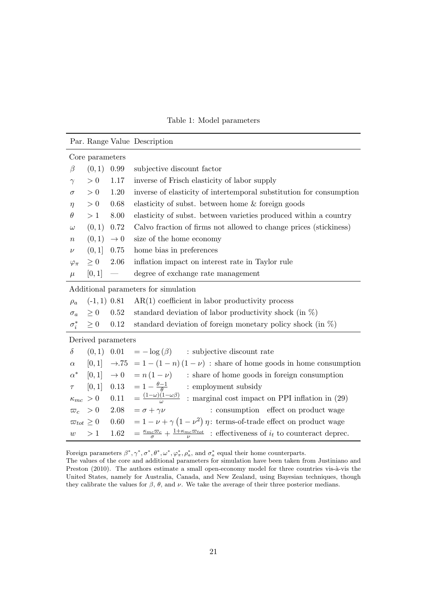Table 1: Model parameters

|                                      |                      |                          | Par. Range Value Description                                                                                                         |
|--------------------------------------|----------------------|--------------------------|--------------------------------------------------------------------------------------------------------------------------------------|
| Core parameters                      |                      |                          |                                                                                                                                      |
| $\beta$                              | (0,1)                | 0.99                     | subjective discount factor                                                                                                           |
| $\gamma$                             | > 0                  | 1.17                     | inverse of Frisch elasticity of labor supply                                                                                         |
| $\sigma$                             | > 0                  | 1.20                     | inverse of elasticity of intertemporal substitution for consumption                                                                  |
| $\eta$                               | > 0                  | 0.68                     | elasticity of subst. between home & foreign goods                                                                                    |
| $\theta$                             | >1                   | 8.00                     | elasticity of subst. between varieties produced within a country                                                                     |
| $\omega$                             | (0,1)                | 0.72                     | Calvo fraction of firms not allowed to change prices (stickiness)                                                                    |
| $\, n$                               | (0,1)                | $\rightarrow 0$          | size of the home economy                                                                                                             |
| $\nu$                                | (0,1]                | 0.75                     | home bias in preferences                                                                                                             |
| $\varphi_{\pi}$                      | $\geq 0$             | 2.06                     | inflation impact on interest rate in Taylor rule                                                                                     |
| $\mu$                                | [0,1]                | $\overline{\phantom{m}}$ | degree of exchange rate management                                                                                                   |
| Additional parameters for simulation |                      |                          |                                                                                                                                      |
| $\rho_a$                             | $(-1, 1)$ 0.81       |                          | $AR(1)$ coefficient in labor productivity process                                                                                    |
| $\sigma_a$                           | $\geq 0$             | 0.52                     | standard deviation of labor productivity shock (in $\%$ )                                                                            |
|                                      | $\sigma_i^* \geq 0$  | 0.12                     | standard deviation of foreign monetary policy shock (in $\%$ )                                                                       |
| Derived parameters                   |                      |                          |                                                                                                                                      |
|                                      |                      |                          | $\delta$ (0,1) 0.01 = $-\log(\beta)$ : subjective discount rate                                                                      |
|                                      |                      |                          | $\alpha$ [0,1] $\rightarrow$ 75 = 1 - (1 - n)(1 - v) : share of home goods in home consumption                                       |
|                                      |                      |                          | $\alpha^*$ [0,1] $\rightarrow 0$ = $n(1-\nu)$ : share of home goods in foreign consumption                                           |
| $\tau$                               |                      |                          | [0,1] 0.13 = $1 - \frac{\theta - 1}{\theta}$ : employment subsidy                                                                    |
|                                      | $\kappa_{mc}\ > 0$   |                          | 0.11 = $\frac{(1-\omega)(1-\omega\beta)}{\omega}$ : marginal cost impact on PPI inflation in (29)                                    |
|                                      | $\varpi_c > 0$       |                          | 2.08 = $\sigma + \gamma \nu$<br>: consumption effect on product wage                                                                 |
|                                      | $\varpi_{tot}\geq 0$ |                          | 0.60 = $1 - \nu + \gamma (1 - \nu^2) \eta$ : terms-of-trade effect on product wage                                                   |
| w > 1                                |                      |                          | 1.62 = $\frac{\kappa_{mc}\varpi_c}{\sigma}$ + $\frac{1+\kappa_{mc}\varpi_{tot}}{\nu}$ : effectiveness of $i_t$ to counteract deprec. |

Foreign parameters  $\beta^*, \gamma^*, \sigma^*, \theta^*, \omega^*, \varphi^*, \rho^*, \rho^*,$  and  $\sigma^*_{a}$  equal their home counterparts.

The values of the core and additional parameters for simulation have been taken from Justiniano and Preston (2010). The authors estimate a small open-economy model for three countries vis-à-vis the United States, namely for Australia, Canada, and New Zealand, using Bayesian techniques, though they calibrate the values for  $\beta$ ,  $\theta$ , and  $\nu$ . We take the average of their three posterior medians.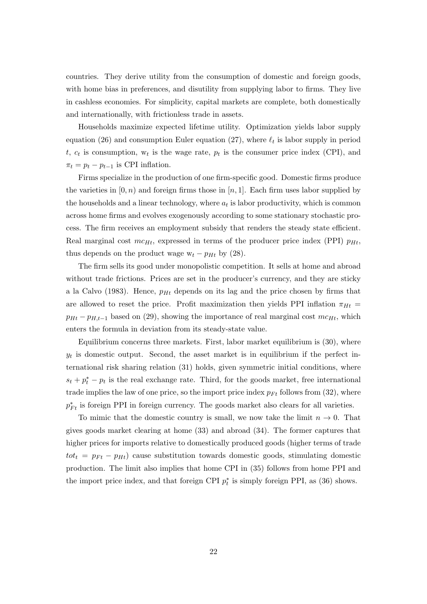countries. They derive utility from the consumption of domestic and foreign goods, with home bias in preferences, and disutility from supplying labor to firms. They live in cashless economies. For simplicity, capital markets are complete, both domestically and internationally, with frictionless trade in assets.

Households maximize expected lifetime utility. Optimization yields labor supply equation (26) and consumption Euler equation (27), where  $\ell_t$  is labor supply in period t,  $c_t$  is consumption,  $w_t$  is the wage rate,  $p_t$  is the consumer price index (CPI), and  $\pi_t = p_t - p_{t-1}$  is CPI inflation.

Firms specialize in the production of one firm-specific good. Domestic firms produce the varieties in  $(0, n)$  and foreign firms those in  $[n, 1]$ . Each firm uses labor supplied by the households and a linear technology, where  $a_t$  is labor productivity, which is common across home firms and evolves exogenously according to some stationary stochastic process. The firm receives an employment subsidy that renders the steady state efficient. Real marginal cost  $mc_{Ht}$ , expressed in terms of the producer price index (PPI)  $p_{Ht}$ , thus depends on the product wage  $w_t - p_{Ht}$  by (28).

The firm sells its good under monopolistic competition. It sells at home and abroad without trade frictions. Prices are set in the producer's currency, and they are sticky a la Calvo (1983). Hence,  $p_{Ht}$  depends on its lag and the price chosen by firms that are allowed to reset the price. Profit maximization then yields PPI inflation  $\pi_{Ht}$  =  $p_{Ht} - p_{H,t-1}$  based on (29), showing the importance of real marginal cost  $mc_{Ht}$ , which enters the formula in deviation from its steady-state value.

Equilibrium concerns three markets. First, labor market equilibrium is  $(30)$ , where  $y_t$  is domestic output. Second, the asset market is in equilibrium if the perfect international risk sharing relation (31) holds, given symmetric initial conditions, where  $s_t + p_t^* - p_t$  is the real exchange rate. Third, for the goods market, free international trade implies the law of one price, so the import price index  $p_{Ft}$  follows from (32), where  $p_{Ft}^*$  is foreign PPI in foreign currency. The goods market also clears for all varieties.

To mimic that the domestic country is small, we now take the limit  $n \to 0$ . That gives goods market clearing at home (33) and abroad (34). The former captures that higher prices for imports relative to domestically produced goods (higher terms of trade  $tot_t = p_{Ft} - p_{Ht}$  cause substitution towards domestic goods, stimulating domestic production. The limit also implies that home CPI in (35) follows from home PPI and the import price index, and that foreign CPI  $p_t^*$  is simply foreign PPI, as (36) shows.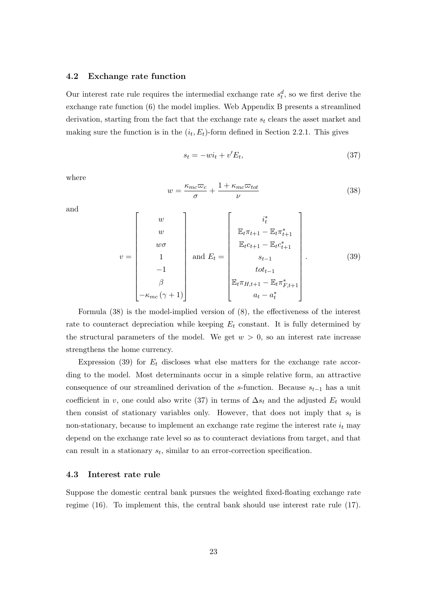### 4.2 Exchange rate function

Our interest rate rule requires the intermedial exchange rate  $s_t^d$ , so we first derive the exchange rate function (6) the model implies. Web Appendix B presents a streamlined derivation, starting from the fact that the exchange rate  $s_t$  clears the asset market and making sure the function is in the  $(i_t, E_t)$ -form defined in Section 2.2.1. This gives

$$
s_t = -wi_t + v'E_t,\tag{37}
$$

where

$$
w = \frac{\kappa_{mc}\varpi_c}{\sigma} + \frac{1 + \kappa_{mc}\varpi_{tot}}{\nu}
$$
\n(38)

and

$$
v = \begin{bmatrix} w \\ w \\ w\sigma \\ 1 \\ -1 \\ \beta \\ -\kappa_{mc}(\gamma+1) \end{bmatrix} \text{ and } E_t = \begin{bmatrix} i_t^* \\ \mathbb{E}_t \pi_{t+1} - \mathbb{E}_t \pi_{t+1}^* \\ \mathbb{E}_t c_{t+1} - \mathbb{E}_t \pi_{t+1}^* \\ s_{t-1} \\ s_{t-1} \\ tot_{t-1} \\ at - a_t^* \end{bmatrix} . \tag{39}
$$

Formula (38) is the model-implied version of (8), the effectiveness of the interest rate to counteract depreciation while keeping  $E_t$  constant. It is fully determined by the structural parameters of the model. We get  $w > 0$ , so an interest rate increase strengthens the home currency.

Expression (39) for  $E_t$  discloses what else matters for the exchange rate according to the model. Most determinants occur in a simple relative form, an attractive consequence of our streamlined derivation of the s-function. Because  $s_{t-1}$  has a unit coefficient in v, one could also write (37) in terms of  $\Delta s_t$  and the adjusted  $E_t$  would then consist of stationary variables only. However, that does not imply that  $s_t$  is non-stationary, because to implement an exchange rate regime the interest rate  $i_t$  may depend on the exchange rate level so as to counteract deviations from target, and that can result in a stationary  $s_t$ , similar to an error-correction specification.

## 4.3 Interest rate rule

Suppose the domestic central bank pursues the weighted fixed-floating exchange rate regime (16). To implement this, the central bank should use interest rate rule (17).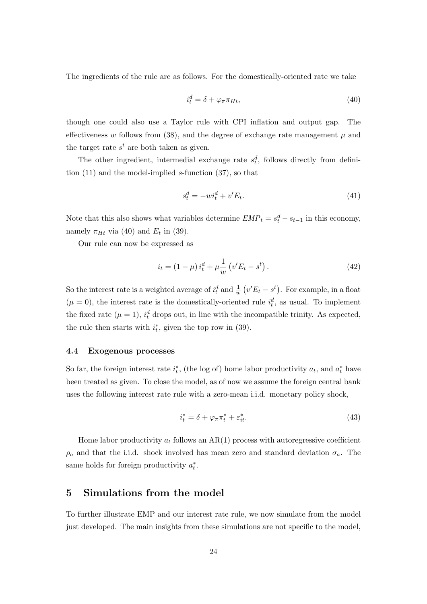The ingredients of the rule are as follows. For the domestically-oriented rate we take

$$
i_t^d = \delta + \varphi_\pi \pi_{Ht},\tag{40}
$$

though one could also use a Taylor rule with CPI inflation and output gap. The effectiveness w follows from (38), and the degree of exchange rate management  $\mu$  and the target rate  $s<sup>t</sup>$  are both taken as given.

The other ingredient, intermedial exchange rate  $s_t^d$ , follows directly from definition  $(11)$  and the model-implied s-function  $(37)$ , so that

$$
s_t^d = -wi_t^d + v'E_t.
$$
\n
$$
(41)
$$

Note that this also shows what variables determine  $EMP_t = s_t^d - s_{t-1}$  in this economy, namely  $\pi_{Ht}$  via (40) and  $E_t$  in (39).

Our rule can now be expressed as

$$
i_t = (1 - \mu) i_t^d + \mu \frac{1}{w} (v'E_t - s^t).
$$
 (42)

So the interest rate is a weighted average of  $i_t^d$  and  $\frac{1}{w}(v'E_t - s^t)$ . For example, in a float  $(\mu = 0)$ , the interest rate is the domestically-oriented rule  $i_t^d$ , as usual. To implement the fixed rate  $(\mu = 1)$ ,  $i_t^d$  drops out, in line with the incompatible trinity. As expected, the rule then starts with  $i_t^*$ , given the top row in (39).

## 4.4 Exogenous processes

So far, the foreign interest rate  $i_t^*$ , (the log of) home labor productivity  $a_t$ , and  $a_t^*$  have been treated as given. To close the model, as of now we assume the foreign central bank uses the following interest rate rule with a zero-mean i.i.d. monetary policy shock,

$$
i_t^* = \delta + \varphi_\pi \pi_t^* + \varepsilon_{it}^*.
$$
\n<sup>(43)</sup>

Home labor productivity  $a_t$  follows an AR(1) process with autoregressive coefficient  $\rho_a$  and that the i.i.d. shock involved has mean zero and standard deviation  $\sigma_a$ . The same holds for foreign productivity  $a_t^*$ .

## 5 Simulations from the model

To further illustrate EMP and our interest rate rule, we now simulate from the model just developed. The main insights from these simulations are not specific to the model,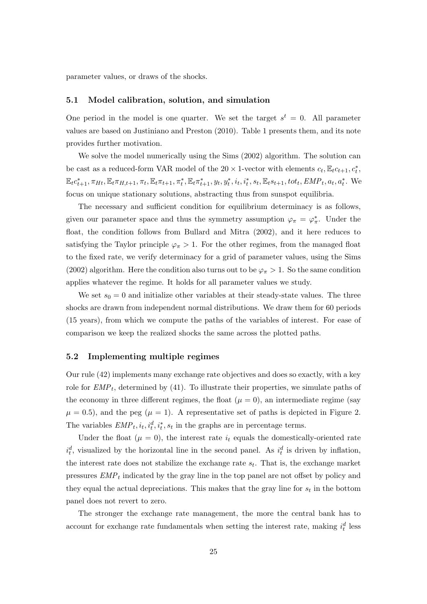parameter values, or draws of the shocks.

### 5.1 Model calibration, solution, and simulation

One period in the model is one quarter. We set the target  $s^t = 0$ . All parameter values are based on Justiniano and Preston (2010). Table 1 presents them, and its note provides further motivation.

We solve the model numerically using the Sims (2002) algorithm. The solution can be cast as a reduced-form VAR model of the 20  $\times$  1-vector with elements  $c_t, \mathbb{E}_t c_{t+1}, c_t^*$ ,  $\mathbb{E}_{t} c_{t+1}^{*}, \pi_{Ht}, \mathbb{E}_{t} \pi_{H,t+1}, \pi_{t}, \mathbb{E}_{t} \pi_{t+1}, \pi_{t}^{*}, \mathbb{E}_{t} \pi_{t+1}^{*}, y_{t}, y_{t}^{*}, i_{t}, i_{t}^{*}, s_{t}, \mathbb{E}_{t} s_{t+1}, tot_{t}, EMP_{t}, a_{t}, a_{t}^{*}$ . We focus on unique stationary solutions, abstracting thus from sunspot equilibria.

The necessary and sufficient condition for equilibrium determinacy is as follows, given our parameter space and thus the symmetry assumption  $\varphi_{\pi} = \varphi_{\pi}^*$ . Under the float, the condition follows from Bullard and Mitra (2002), and it here reduces to satisfying the Taylor principle  $\varphi_{\pi} > 1$ . For the other regimes, from the managed float to the fixed rate, we verify determinacy for a grid of parameter values, using the Sims (2002) algorithm. Here the condition also turns out to be  $\varphi_{\pi} > 1$ . So the same condition applies whatever the regime. It holds for all parameter values we study.

We set  $s_0 = 0$  and initialize other variables at their steady-state values. The three shocks are drawn from independent normal distributions. We draw them for 60 periods (15 years), from which we compute the paths of the variables of interest. For ease of comparison we keep the realized shocks the same across the plotted paths.

## 5.2 Implementing multiple regimes

Our rule (42) implements many exchange rate objectives and does so exactly, with a key role for  $EMP_t$ , determined by (41). To illustrate their properties, we simulate paths of the economy in three different regimes, the float  $(\mu = 0)$ , an intermediate regime (say  $\mu = 0.5$ , and the peg ( $\mu = 1$ ). A representative set of paths is depicted in Figure 2. The variables  $EMP_t$ ,  $i_t$ ,  $i_t^d$ ,  $i_t^*, s_t$  in the graphs are in percentage terms.

Under the float  $(\mu = 0)$ , the interest rate  $i_t$  equals the domestically-oriented rate  $i_t^d$ , visualized by the horizontal line in the second panel. As  $i_t^d$  is driven by inflation, the interest rate does not stabilize the exchange rate  $s_t$ . That is, the exchange market pressures  $EMP_t$  indicated by the gray line in the top panel are not offset by policy and they equal the actual depreciations. This makes that the gray line for  $s_t$  in the bottom panel does not revert to zero.

The stronger the exchange rate management, the more the central bank has to account for exchange rate fundamentals when setting the interest rate, making  $i_t^d$  less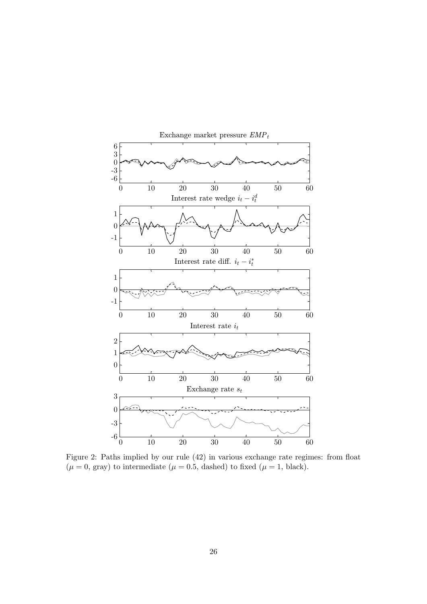

Figure 2: Paths implied by our rule (42) in various exchange rate regimes: from float  $(\mu = 0, \text{ gray})$  to intermediate  $(\mu = 0.5, \text{ dashed})$  to fixed  $(\mu = 1, \text{ black})$ .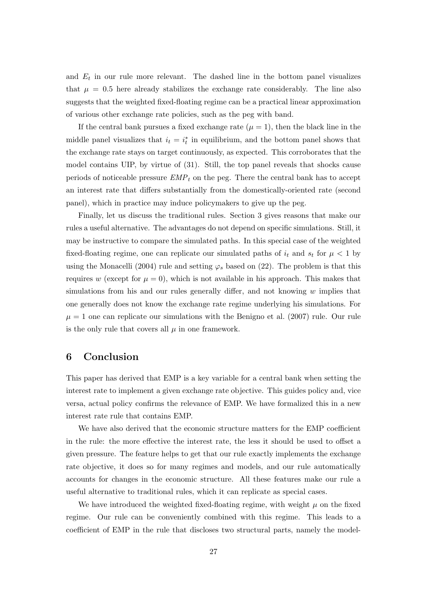and  $E_t$  in our rule more relevant. The dashed line in the bottom panel visualizes that  $\mu = 0.5$  here already stabilizes the exchange rate considerably. The line also suggests that the weighted fixed-floating regime can be a practical linear approximation of various other exchange rate policies, such as the peg with band.

If the central bank pursues a fixed exchange rate  $(\mu = 1)$ , then the black line in the middle panel visualizes that  $i_t = i_t^*$  in equilibrium, and the bottom panel shows that the exchange rate stays on target continuously, as expected. This corroborates that the model contains UIP, by virtue of (31). Still, the top panel reveals that shocks cause periods of noticeable pressure  $EMP<sub>t</sub>$  on the peg. There the central bank has to accept an interest rate that differs substantially from the domestically-oriented rate (second panel), which in practice may induce policymakers to give up the peg.

Finally, let us discuss the traditional rules. Section 3 gives reasons that make our rules a useful alternative. The advantages do not depend on specific simulations. Still, it may be instructive to compare the simulated paths. In this special case of the weighted fixed-floating regime, one can replicate our simulated paths of  $i_t$  and  $s_t$  for  $\mu < 1$  by using the Monacelli (2004) rule and setting  $\varphi_s$  based on (22). The problem is that this requires w (except for  $\mu = 0$ ), which is not available in his approach. This makes that simulations from his and our rules generally differ, and not knowing  $w$  implies that one generally does not know the exchange rate regime underlying his simulations. For  $\mu = 1$  one can replicate our simulations with the Benigno et al. (2007) rule. Our rule is the only rule that covers all  $\mu$  in one framework.

## 6 Conclusion

This paper has derived that EMP is a key variable for a central bank when setting the interest rate to implement a given exchange rate objective. This guides policy and, vice versa, actual policy confirms the relevance of EMP. We have formalized this in a new interest rate rule that contains EMP.

We have also derived that the economic structure matters for the EMP coefficient in the rule: the more effective the interest rate, the less it should be used to offset a given pressure. The feature helps to get that our rule exactly implements the exchange rate objective, it does so for many regimes and models, and our rule automatically accounts for changes in the economic structure. All these features make our rule a useful alternative to traditional rules, which it can replicate as special cases.

We have introduced the weighted fixed-floating regime, with weight  $\mu$  on the fixed regime. Our rule can be conveniently combined with this regime. This leads to a coefficient of EMP in the rule that discloses two structural parts, namely the model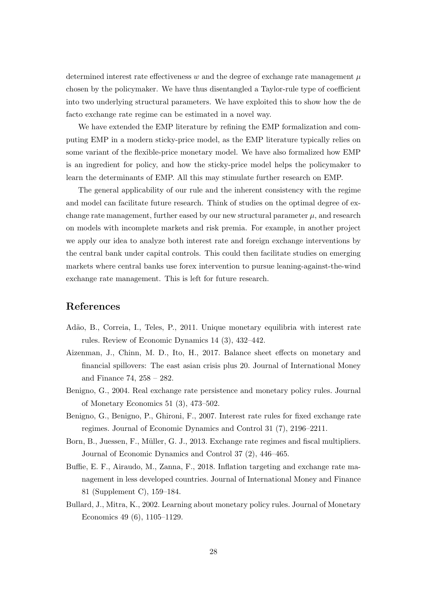determined interest rate effectiveness w and the degree of exchange rate management  $\mu$ chosen by the policymaker. We have thus disentangled a Taylor-rule type of coefficient into two underlying structural parameters. We have exploited this to show how the de facto exchange rate regime can be estimated in a novel way.

We have extended the EMP literature by refining the EMP formalization and computing EMP in a modern sticky-price model, as the EMP literature typically relies on some variant of the flexible-price monetary model. We have also formalized how EMP is an ingredient for policy, and how the sticky-price model helps the policymaker to learn the determinants of EMP. All this may stimulate further research on EMP.

The general applicability of our rule and the inherent consistency with the regime and model can facilitate future research. Think of studies on the optimal degree of exchange rate management, further eased by our new structural parameter  $\mu$ , and research on models with incomplete markets and risk premia. For example, in another project we apply our idea to analyze both interest rate and foreign exchange interventions by the central bank under capital controls. This could then facilitate studies on emerging markets where central banks use forex intervention to pursue leaning-against-the-wind exchange rate management. This is left for future research.

# References

- Adão, B., Correia, I., Teles, P., 2011. Unique monetary equilibria with interest rate rules. Review of Economic Dynamics 14 (3), 432–442.
- Aizenman, J., Chinn, M. D., Ito, H., 2017. Balance sheet effects on monetary and financial spillovers: The east asian crisis plus 20. Journal of International Money and Finance 74, 258 – 282.
- Benigno, G., 2004. Real exchange rate persistence and monetary policy rules. Journal of Monetary Economics 51 (3), 473–502.
- Benigno, G., Benigno, P., Ghironi, F., 2007. Interest rate rules for fixed exchange rate regimes. Journal of Economic Dynamics and Control 31 (7), 2196–2211.
- Born, B., Juessen, F., Müller, G. J., 2013. Exchange rate regimes and fiscal multipliers. Journal of Economic Dynamics and Control 37 (2), 446–465.
- Buffie, E. F., Airaudo, M., Zanna, F., 2018. Inflation targeting and exchange rate management in less developed countries. Journal of International Money and Finance 81 (Supplement C), 159–184.
- Bullard, J., Mitra, K., 2002. Learning about monetary policy rules. Journal of Monetary Economics 49 (6), 1105–1129.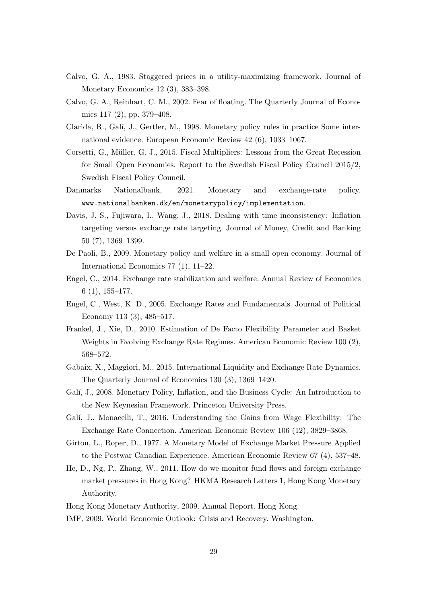- Calvo, G. A., 1983. Staggered prices in a utility-maximizing framework. Journal of Monetary Economics 12 (3), 383–398.
- Calvo, G. A., Reinhart, C. M., 2002. Fear of floating. The Quarterly Journal of Economics 117 (2), pp. 379–408.
- Clarida, R., Galí, J., Gertler, M., 1998. Monetary policy rules in practice Some international evidence. European Economic Review 42 (6), 1033–1067.
- Corsetti, G., Müller, G. J., 2015. Fiscal Multipliers: Lessons from the Great Recession for Small Open Economies. Report to the Swedish Fiscal Policy Council 2015/2, Swedish Fiscal Policy Council.
- Danmarks Nationalbank, 2021. Monetary and exchange-rate policy. www.nationalbanken.dk/en/monetarypolicy/implementation.
- Davis, J. S., Fujiwara, I., Wang, J., 2018. Dealing with time inconsistency: Inflation targeting versus exchange rate targeting. Journal of Money, Credit and Banking 50 (7), 1369–1399.
- De Paoli, B., 2009. Monetary policy and welfare in a small open economy. Journal of International Economics 77 (1), 11–22.
- Engel, C., 2014. Exchange rate stabilization and welfare. Annual Review of Economics 6 (1), 155–177.
- Engel, C., West, K. D., 2005. Exchange Rates and Fundamentals. Journal of Political Economy 113 (3), 485–517.
- Frankel, J., Xie, D., 2010. Estimation of De Facto Flexibility Parameter and Basket Weights in Evolving Exchange Rate Regimes. American Economic Review 100 (2), 568–572.
- Gabaix, X., Maggiori, M., 2015. International Liquidity and Exchange Rate Dynamics. The Quarterly Journal of Economics 130 (3), 1369–1420.
- Galí, J., 2008. Monetary Policy, Inflation, and the Business Cycle: An Introduction to the New Keynesian Framework. Princeton University Press.
- Galí, J., Monacelli, T., 2016. Understanding the Gains from Wage Flexibility: The Exchange Rate Connection. American Economic Review 106 (12), 3829–3868.
- Girton, L., Roper, D., 1977. A Monetary Model of Exchange Market Pressure Applied to the Postwar Canadian Experience. American Economic Review 67 (4), 537–48.
- He, D., Ng, P., Zhang, W., 2011. How do we monitor fund flows and foreign exchange market pressures in Hong Kong? HKMA Research Letters 1, Hong Kong Monetary Authority.
- Hong Kong Monetary Authority, 2009. Annual Report. Hong Kong.
- IMF, 2009. World Economic Outlook: Crisis and Recovery. Washington.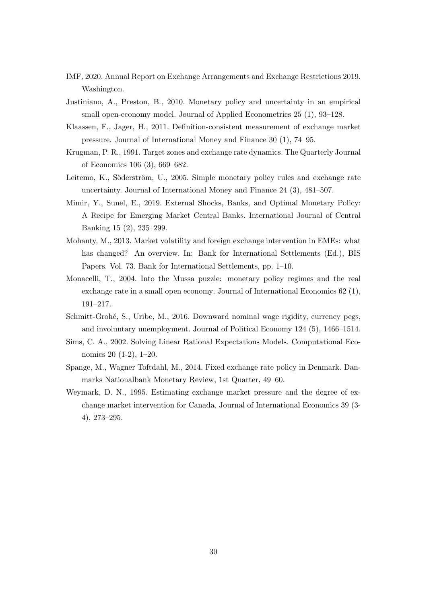- IMF, 2020. Annual Report on Exchange Arrangements and Exchange Restrictions 2019. Washington.
- Justiniano, A., Preston, B., 2010. Monetary policy and uncertainty in an empirical small open-economy model. Journal of Applied Econometrics 25 (1), 93–128.
- Klaassen, F., Jager, H., 2011. Definition-consistent measurement of exchange market pressure. Journal of International Money and Finance 30 (1), 74–95.
- Krugman, P. R., 1991. Target zones and exchange rate dynamics. The Quarterly Journal of Economics 106 (3), 669–682.
- Leitemo, K., Söderström, U., 2005. Simple monetary policy rules and exchange rate uncertainty. Journal of International Money and Finance 24 (3), 481–507.
- Mimir, Y., Sunel, E., 2019. External Shocks, Banks, and Optimal Monetary Policy: A Recipe for Emerging Market Central Banks. International Journal of Central Banking 15 (2), 235–299.
- Mohanty, M., 2013. Market volatility and foreign exchange intervention in EMEs: what has changed? An overview. In: Bank for International Settlements (Ed.), BIS Papers. Vol. 73. Bank for International Settlements, pp. 1–10.
- Monacelli, T., 2004. Into the Mussa puzzle: monetary policy regimes and the real exchange rate in a small open economy. Journal of International Economics 62 (1), 191–217.
- Schmitt-Grohé, S., Uribe, M., 2016. Downward nominal wage rigidity, currency pegs, and involuntary unemployment. Journal of Political Economy 124 (5), 1466–1514.
- Sims, C. A., 2002. Solving Linear Rational Expectations Models. Computational Economics 20 (1-2), 1–20.
- Spange, M., Wagner Toftdahl, M., 2014. Fixed exchange rate policy in Denmark. Danmarks Nationalbank Monetary Review, 1st Quarter, 49–60.
- Weymark, D. N., 1995. Estimating exchange market pressure and the degree of exchange market intervention for Canada. Journal of International Economics 39 (3- 4), 273–295.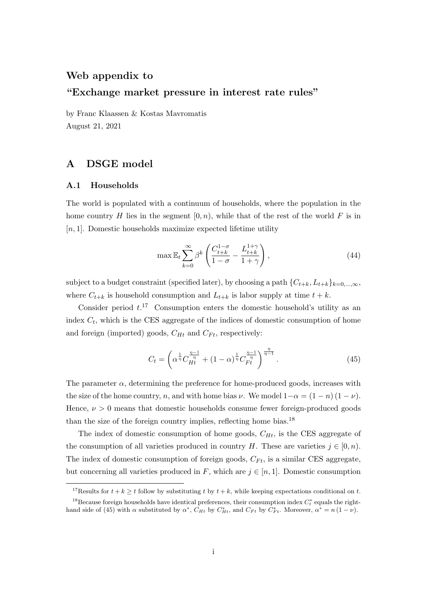## Web appendix to

# "Exchange market pressure in interest rate rules"

by Franc Klaassen & Kostas Mavromatis August 21, 2021

# A DSGE model

## A.1 Households

The world is populated with a continuum of households, where the population in the home country H lies in the segment  $[0, n)$ , while that of the rest of the world F is in  $[n, 1]$ . Domestic households maximize expected lifetime utility

$$
\max \mathbb{E}_t \sum_{k=0}^{\infty} \beta^k \left( \frac{C_{t+k}^{1-\sigma}}{1-\sigma} - \frac{L_{t+k}^{1+\gamma}}{1+\gamma} \right),\tag{44}
$$

subject to a budget constraint (specified later), by choosing a path  $\{C_{t+k}, L_{t+k}\}_{k=0,\dots,\infty}$ , where  $C_{t+k}$  is household consumption and  $L_{t+k}$  is labor supply at time  $t + k$ .

Consider period  $t$ <sup>17</sup> Consumption enters the domestic household's utility as an index  $C_t$ , which is the CES aggregate of the indices of domestic consumption of home and foreign (imported) goods,  $C_{Ht}$  and  $C_{Ft}$ , respectively:

$$
C_t = \left(\alpha^{\frac{1}{\eta}} C_{Ht}^{\frac{\eta - 1}{\eta}} + (1 - \alpha)^{\frac{1}{\eta}} C_{Ft}^{\frac{\eta - 1}{\eta}}\right)^{\frac{\eta}{\eta - 1}}.\tag{45}
$$

The parameter  $\alpha$ , determining the preference for home-produced goods, increases with the size of the home country, n, and with home bias  $\nu$ . We model  $1-\alpha = (1-n)(1-\nu)$ . Hence,  $\nu > 0$  means that domestic households consume fewer foreign-produced goods than the size of the foreign country implies, reflecting home bias.<sup>18</sup>

The index of domestic consumption of home goods,  $C_{Ht}$ , is the CES aggregate of the consumption of all varieties produced in country H. These are varieties  $j \in [0, n)$ . The index of domestic consumption of foreign goods,  $C_{Ft}$ , is a similar CES aggregate, but concerning all varieties produced in F, which are  $j \in [n, 1]$ . Domestic consumption

<sup>&</sup>lt;sup>17</sup>Results for  $t + k > t$  follow by substituting t by  $t + k$ , while keeping expectations conditional on t.

<sup>&</sup>lt;sup>18</sup>Because foreign households have identical preferences, their consumption index  $C_t^*$  equals the righthand side of (45) with  $\alpha$  substituted by  $\alpha^*$ ,  $C_{Ht}$  by  $C_{Ht}^*$ , and  $C_{Ft}$  by  $C_{Ft}^*$ . Moreover,  $\alpha^* = n(1 - \nu)$ .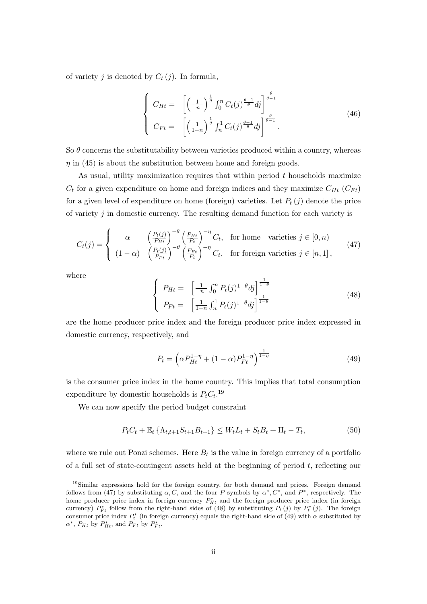of variety j is denoted by  $C_t(j)$ . In formula,

$$
\begin{cases}\nC_{Ht} = \left[ \left( \frac{1}{n} \right)^{\frac{1}{\theta}} \int_0^n C_t(j)^{\frac{\theta - 1}{\theta}} dj \right]^{\frac{\theta}{\theta - 1}} \\
C_{Ft} = \left[ \left( \frac{1}{1 - n} \right)^{\frac{1}{\theta}} \int_n^1 C_t(j)^{\frac{\theta - 1}{\theta}} dj \right]^{\frac{\theta}{\theta - 1}}.\n\end{cases} \tag{46}
$$

So  $\theta$  concerns the substitutability between varieties produced within a country, whereas  $\eta$  in (45) is about the substitution between home and foreign goods.

As usual, utility maximization requires that within period  $t$  households maximize  $C_t$  for a given expenditure on home and foreign indices and they maximize  $C_{Ht}$  ( $C_{Ft}$ ) for a given level of expenditure on home (foreign) varieties. Let  $P_t(j)$  denote the price of variety  $j$  in domestic currency. The resulting demand function for each variety is

$$
C_t(j) = \begin{cases} \alpha & \left(\frac{P_t(j)}{P_{Ht}}\right)^{-\theta} \left(\frac{P_{Ht}}{P_t}\right)^{-\eta} C_t, & \text{for home varieties } j \in [0, n) \\ (1 - \alpha) & \left(\frac{P_t(j)}{P_{Ft}}\right)^{-\theta} \left(\frac{P_{Ft}}{P_t}\right)^{-\eta} C_t, & \text{for foreign varieties } j \in [n, 1], \end{cases}
$$
(47)

where

$$
\begin{cases}\nP_{Ht} = \left[\frac{1}{n} \int_0^n P_t(j)^{1-\theta} dj\right]^{\frac{1}{1-\theta}} \\
P_{Ft} = \left[\frac{1}{1-n} \int_n^1 P_t(j)^{1-\theta} dj\right]^{\frac{1}{1-\theta}}\n\end{cases} \tag{48}
$$

are the home producer price index and the foreign producer price index expressed in domestic currency, respectively, and

$$
P_t = \left(\alpha P_{Ht}^{1-\eta} + (1-\alpha)P_{Ft}^{1-\eta}\right)^{\frac{1}{1-\eta}}
$$
\n(49)

is the consumer price index in the home country. This implies that total consumption expenditure by domestic households is  $P_t C_t$ <sup>19</sup>

We can now specify the period budget constraint

$$
P_t C_t + \mathbb{E}_t \left\{ \Lambda_{t,t+1} S_{t+1} B_{t+1} \right\} \le W_t L_t + S_t B_t + \Pi_t - T_t, \tag{50}
$$

where we rule out Ponzi schemes. Here  $B_t$  is the value in foreign currency of a portfolio of a full set of state-contingent assets held at the beginning of period t, reflecting our

<sup>19</sup>Similar expressions hold for the foreign country, for both demand and prices. Foreign demand follows from (47) by substituting  $\alpha$ , C, and the four P symbols by  $\alpha^*$ , C<sup>\*</sup>, and P<sup>\*</sup>, respectively. The home producer price index in foreign currency  $P_{Ht}^*$  and the foreign producer price index (in foreign currency)  $P_{Ft}^*$  follow from the right-hand sides of (48) by substituting  $P_t(j)$  by  $P_t^*(j)$ . The foreign consumer price index  $P_t^*$  (in foreign currency) equals the right-hand side of (49) with  $\alpha$  substituted by  $\alpha^*$ ,  $P_{Ht}$  by  $P_{Ht}^*$ , and  $P_{Ft}$  by  $P_{Ft}^*$ .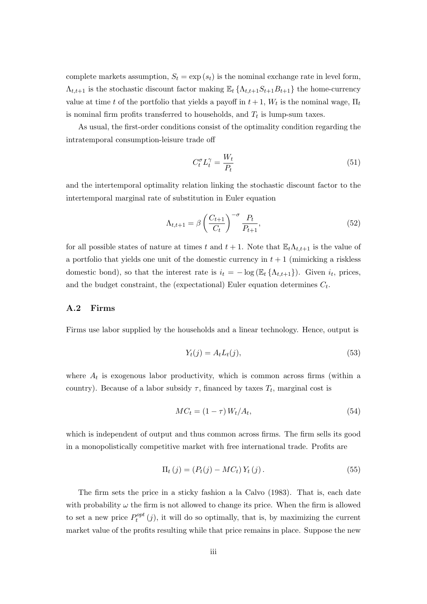complete markets assumption,  $S_t = \exp(s_t)$  is the nominal exchange rate in level form,  $\Lambda_{t,t+1}$  is the stochastic discount factor making  $\mathbb{E}_t \{\Lambda_{t,t+1}S_{t+1}B_{t+1}\}\$  the home-currency value at time t of the portfolio that yields a payoff in  $t+1$ ,  $W_t$  is the nominal wage,  $\Pi_t$ is nominal firm profits transferred to households, and  $T_t$  is lump-sum taxes.

As usual, the first-order conditions consist of the optimality condition regarding the intratemporal consumption-leisure trade off

$$
C_t^{\sigma} L_t^{\gamma} = \frac{W_t}{P_t} \tag{51}
$$

and the intertemporal optimality relation linking the stochastic discount factor to the intertemporal marginal rate of substitution in Euler equation

$$
\Lambda_{t,t+1} = \beta \left(\frac{C_{t+1}}{C_t}\right)^{-\sigma} \frac{P_t}{P_{t+1}},\tag{52}
$$

for all possible states of nature at times t and  $t + 1$ . Note that  $\mathbb{E}_t \Lambda_{t,t+1}$  is the value of a portfolio that yields one unit of the domestic currency in  $t + 1$  (mimicking a riskless domestic bond), so that the interest rate is  $i_t = -\log (\mathbb{E}_t \{\Lambda_{t,t+1}\})$ . Given  $i_t$ , prices, and the budget constraint, the (expectational) Euler equation determines  $C_t$ .

## A.2 Firms

Firms use labor supplied by the households and a linear technology. Hence, output is

$$
Y_t(j) = A_t L_t(j),\tag{53}
$$

where  $A_t$  is exogenous labor productivity, which is common across firms (within a country). Because of a labor subsidy  $\tau$ , financed by taxes  $T_t$ , marginal cost is

$$
MC_t = (1 - \tau) W_t / A_t,\tag{54}
$$

which is independent of output and thus common across firms. The firm sells its good in a monopolistically competitive market with free international trade. Profits are

$$
\Pi_{t}(j) = (P_{t}(j) - MC_{t}) Y_{t}(j).
$$
\n(55)

The firm sets the price in a sticky fashion a la Calvo (1983). That is, each date with probability  $\omega$  the firm is not allowed to change its price. When the firm is allowed to set a new price  $P_t^{opt}$  $t_t^{opt}(j)$ , it will do so optimally, that is, by maximizing the current market value of the profits resulting while that price remains in place. Suppose the new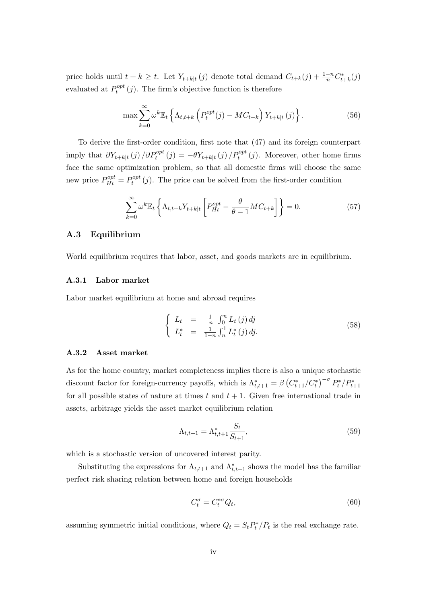price holds until  $t + k \geq t$ . Let  $Y_{t+k|t}(j)$  denote total demand  $C_{t+k}(j) + \frac{1-n}{n}C_{t+k}^*(j)$ evaluated at  $P_t^{opt}$  $t_t^{opt}(j)$ . The firm's objective function is therefore

$$
\max \sum_{k=0}^{\infty} \omega^k \mathbb{E}_t \left\{ \Lambda_{t,t+k} \left( P_t^{opt}(j) - MC_{t+k} \right) Y_{t+k|t}(j) \right\}.
$$
 (56)

To derive the first-order condition, first note that (47) and its foreign counterpart imply that  $\partial Y_{t+k|t}(j) / \partial P_t^{opt}(j) = -\theta Y_{t+k|t}(j) / P_t^{opt}(j)$ . Moreover, other home firms face the same optimization problem, so that all domestic firms will choose the same new price  $P_{Ht}^{opt} = P_t^{opt}$  $t_t^{opt}(j)$ . The price can be solved from the first-order condition

$$
\sum_{k=0}^{\infty} \omega^k \mathbb{E}_t \left\{ \Lambda_{t,t+k} Y_{t+k|t} \left[ P_{Ht}^{opt} - \frac{\theta}{\theta - 1} M C_{t+k} \right] \right\} = 0. \tag{57}
$$

## A.3 Equilibrium

World equilibrium requires that labor, asset, and goods markets are in equilibrium.

### A.3.1 Labor market

Labor market equilibrium at home and abroad requires

$$
\begin{cases}\nL_t = \frac{1}{n} \int_0^n L_t(j) \, dj \\
L_t^* = \frac{1}{1-n} \int_n^1 L_t^*(j) \, dj.\n\end{cases} \tag{58}
$$

#### A.3.2 Asset market

As for the home country, market completeness implies there is also a unique stochastic discount factor for foreign-currency payoffs, which is  $\Lambda_{t,t+1}^* = \beta \left(C_{t+1}^*/C_t^*\right)^{-\sigma} P_t^* / P_{t+1}^*$ for all possible states of nature at times  $t$  and  $t + 1$ . Given free international trade in assets, arbitrage yields the asset market equilibrium relation

$$
\Lambda_{t,t+1} = \Lambda_{t,t+1}^* \frac{S_t}{S_{t+1}},
$$
\n(59)

which is a stochastic version of uncovered interest parity.

Substituting the expressions for  $\Lambda_{t,t+1}$  and  $\Lambda_{t,t+1}^*$  shows the model has the familiar perfect risk sharing relation between home and foreign households

$$
C_t^{\sigma} = C_t^{*\sigma} Q_t,\tag{60}
$$

assuming symmetric initial conditions, where  $Q_t = S_t P_t^* / P_t$  is the real exchange rate.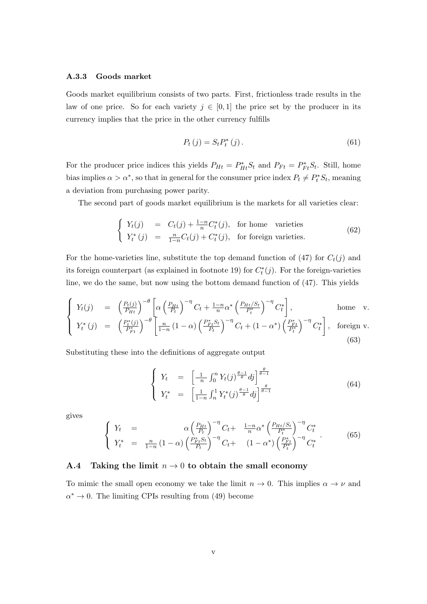## A.3.3 Goods market

Goods market equilibrium consists of two parts. First, frictionless trade results in the law of one price. So for each variety  $j \in [0,1]$  the price set by the producer in its currency implies that the price in the other currency fulfills

$$
P_t(j) = S_t P_t^*(j).
$$
\n(61)

For the producer price indices this yields  $P_{Ht} = P_{Ht}^* S_t$  and  $P_{Ft} = P_{Ft}^* S_t$ . Still, home bias implies  $\alpha > \alpha^*$ , so that in general for the consumer price index  $P_t \neq P_t^* S_t$ , meaning a deviation from purchasing power parity.

The second part of goods market equilibrium is the markets for all varieties clear:

$$
\begin{cases}\nY_t(j) = C_t(j) + \frac{1-n}{n} C_t^*(j), & \text{for home varieties} \\
Y_t^*(j) = \frac{n}{1-n} C_t(j) + C_t^*(j), & \text{for foreign varieties.} \n\end{cases}
$$
\n(62)

For the home-varieties line, substitute the top demand function of  $(47)$  for  $C_t(j)$  and its foreign counterpart (as explained in footnote 19) for  $C_t^*(j)$ . For the foreign-varieties line, we do the same, but now using the bottom demand function of (47). This yields

$$
\begin{cases}\nY_t(j) = \left(\frac{P_t(j)}{P_{Ht}}\right)^{-\theta} \left[\alpha \left(\frac{P_{Ht}}{P_t}\right)^{-\eta} C_t + \frac{1-n}{n} \alpha^* \left(\frac{P_{Ht}/S_t}{P_t^*}\right)^{-\eta} C_t^*\right], & \text{home } v. \\
Y_t^*(j) = \left(\frac{P_t^*(j)}{P_{Ft}^*}\right)^{-\theta} \left[\frac{n}{1-n} (1-\alpha) \left(\frac{P_{Ft}^*S_t}{P_t}\right)^{-\eta} C_t + (1-\alpha^*) \left(\frac{P_{Ft}^*}{P_t^*}\right)^{-\eta} C_t^*\right], & \text{foreign } v. \\
(63)\n\end{cases}
$$

Substituting these into the definitions of aggregate output

$$
\begin{cases}\nY_t = \left[ \frac{1}{n} \int_0^n Y_t(j)^{\frac{\theta - 1}{\theta}} dj \right]^{\frac{\theta}{\theta - 1}} \\
Y_t^* = \left[ \frac{1}{1 - n} \int_n^1 Y_t^*(j)^{\frac{\theta - 1}{\theta}} dj \right]^{\frac{\theta}{\theta - 1}}\n\end{cases} (64)
$$

gives

$$
\begin{cases}\nY_t = \alpha \left(\frac{P_{Ht}}{P_t}\right)^{-\eta} C_t + \frac{1-n}{n} \alpha^* \left(\frac{P_{Ht}/S_t}{P_t^*}\right)^{-\eta} C_t^* \\
Y_t^* = \frac{n}{1-n} (1-\alpha) \left(\frac{P_{Ft}^* S_t}{P_t}\right)^{-\eta} C_t + (1-\alpha^*) \left(\frac{P_{Ft}^*}{P_t^*}\right)^{-\eta} C_t^*\n\end{cases} (65)
$$

## A.4 Taking the limit  $n \to 0$  to obtain the small economy

To mimic the small open economy we take the limit  $n \to 0$ . This implies  $\alpha \to \nu$  and  $\alpha^* \to 0$ . The limiting CPIs resulting from (49) become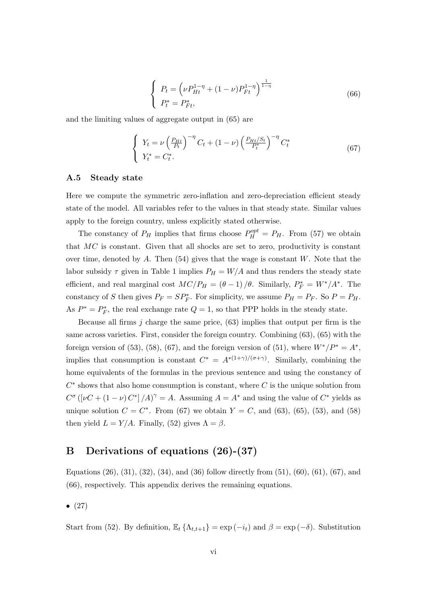$$
\begin{cases}\nP_t = \left(\nu P_{Ht}^{1-\eta} + (1-\nu)P_{Ft}^{1-\eta}\right)^{\frac{1}{1-\eta}} \\
P_t^* = P_{Ft}^*,\n\end{cases} \tag{66}
$$

and the limiting values of aggregate output in (65) are

$$
\begin{cases}\nY_t = \nu \left(\frac{P_{Ht}}{P_t}\right)^{-\eta} C_t + (1 - \nu) \left(\frac{P_{Ht}/S_t}{P_t^*}\right)^{-\eta} C_t^* \\
Y_t^* = C_t^*.\n\end{cases} \n(67)
$$

## A.5 Steady state

Here we compute the symmetric zero-inflation and zero-depreciation efficient steady state of the model. All variables refer to the values in that steady state. Similar values apply to the foreign country, unless explicitly stated otherwise.

The constancy of  $P_H$  implies that firms choose  $P_H^{opt} = P_H$ . From (57) we obtain that  $MC$  is constant. Given that all shocks are set to zero, productivity is constant over time, denoted by  $A$ . Then (54) gives that the wage is constant  $W$ . Note that the labor subsidy  $\tau$  given in Table 1 implies  $P_H = W/A$  and thus renders the steady state efficient, and real marginal cost  $MC/P_H = (\theta - 1) / \theta$ . Similarly,  $P_F^* = W^* / A^*$ . The constancy of S then gives  $P_F = SP_F^*$ . For simplicity, we assume  $P_H = P_F$ . So  $P = P_H$ . As  $P^* = P^*_F$ , the real exchange rate  $Q = 1$ , so that PPP holds in the steady state.

Because all firms j charge the same price,  $(63)$  implies that output per firm is the same across varieties. First, consider the foreign country. Combining (63), (65) with the foreign version of (53), (58), (67), and the foreign version of (51), where  $W^*/P^* = A^*$ , implies that consumption is constant  $C^* = A^{*(1+\gamma)/(\sigma+\gamma)}$ . Similarly, combining the home equivalents of the formulas in the previous sentence and using the constancy of  $C^*$  shows that also home consumption is constant, where  $C$  is the unique solution from  $C^{\sigma}$  ([vC + (1 – v)  $C^*$ ]  $\langle A \rangle^{\gamma} = A$ . Assuming  $A = A^*$  and using the value of  $C^*$  yields as unique solution  $C = C^*$ . From (67) we obtain  $Y = C$ , and (63), (65), (53), and (58) then yield  $L = Y/A$ . Finally, (52) gives  $\Lambda = \beta$ .

# B Derivations of equations (26)-(37)

Equations  $(26)$ ,  $(31)$ ,  $(32)$ ,  $(34)$ , and  $(36)$  follow directly from  $(51)$ ,  $(60)$ ,  $(61)$ ,  $(67)$ , and (66), respectively. This appendix derives the remaining equations.

 $\bullet$  (27)

Start from (52). By definition,  $\mathbb{E}_t \left\{ \Lambda_{t,t+1} \right\} = \exp(-i_t)$  and  $\beta = \exp(-\delta)$ . Substitution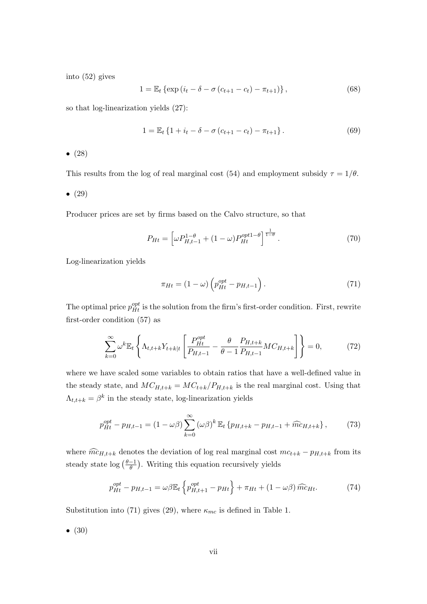into (52) gives

$$
1 = \mathbb{E}_t \left\{ \exp\left(i_t - \delta - \sigma \left(c_{t+1} - c_t\right) - \pi_{t+1}\right) \right\},\tag{68}
$$

so that log-linearization yields (27):

$$
1 = \mathbb{E}_t \left\{ 1 + i_t - \delta - \sigma \left( c_{t+1} - c_t \right) - \pi_{t+1} \right\}.
$$
 (69)

•  $(28)$ 

This results from the log of real marginal cost (54) and employment subsidy  $\tau = 1/\theta$ .

•  $(29)$ 

Producer prices are set by firms based on the Calvo structure, so that

$$
P_{Ht} = \left[\omega P_{H,t-1}^{1-\theta} + (1-\omega)P_{Ht}^{opt1-\theta}\right]^{\frac{1}{1-\theta}}.
$$
\n(70)

Log-linearization yields

$$
\pi_{Ht} = (1 - \omega) \left( p_{Ht}^{opt} - p_{H,t-1} \right). \tag{71}
$$

The optimal price  $p_{Ht}^{opt}$  is the solution from the firm's first-order condition. First, rewrite first-order condition (57) as

$$
\sum_{k=0}^{\infty} \omega^k \mathbb{E}_t \left\{ \Lambda_{t,t+k} Y_{t+k|t} \left[ \frac{P_{Ht}^{opt}}{P_{H,t-1}} - \frac{\theta}{\theta - 1} \frac{P_{H,t+k}}{P_{H,t-1}} M C_{H,t+k} \right] \right\} = 0, \tag{72}
$$

where we have scaled some variables to obtain ratios that have a well-defined value in the steady state, and  $MC_{H,t+k} = MC_{t+k}/P_{H,t+k}$  is the real marginal cost. Using that  $\Lambda_{t,t+k} = \beta^k$  in the steady state, log-linearization yields

$$
p_{Ht}^{opt} - p_{H,t-1} = (1 - \omega \beta) \sum_{k=0}^{\infty} (\omega \beta)^k \mathbb{E}_t \left\{ p_{H,t+k} - p_{H,t-1} + \widehat{mc}_{H,t+k} \right\},\tag{73}
$$

where  $\widehat{mc}_{H,t+k}$  denotes the deviation of log real marginal cost  $mc_{t+k} - p_{H,t+k}$  from its steady state  $\log\left(\frac{\theta-1}{\theta}\right)$  $\frac{-1}{\theta}$ ). Writing this equation recursively yields

$$
p_{Ht}^{opt} - p_{H,t-1} = \omega \beta \mathbb{E}_t \left\{ p_{H,t+1}^{opt} - p_{Ht} \right\} + \pi_{Ht} + (1 - \omega \beta) \widehat{mc}_{Ht}.
$$
 (74)

Substitution into (71) gives (29), where  $\kappa_{mc}$  is defined in Table 1.

 $\bullet$  (30)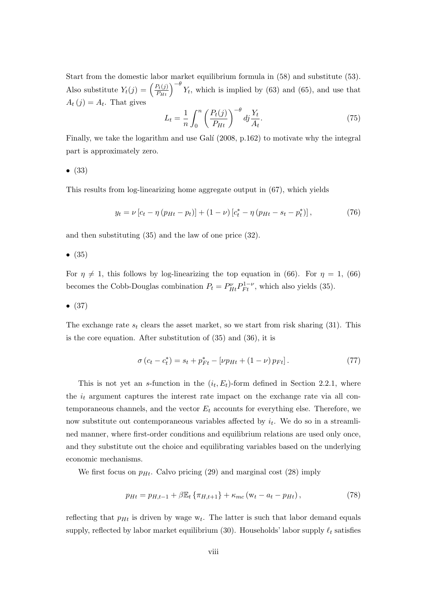Start from the domestic labor market equilibrium formula in (58) and substitute (53). Also substitute  $Y_t(j) = \left(\frac{P_t(j)}{P_{Ht}}\right)^{-\theta} Y_t$ , which is implied by (63) and (65), and use that  $A_t(j) = A_t$ . That gives

$$
L_t = \frac{1}{n} \int_0^n \left( \frac{P_t(j)}{P_{Ht}} \right)^{-\theta} dj \frac{Y_t}{A_t}.
$$
 (75)

Finally, we take the logarithm and use Galí  $(2008, p.162)$  to motivate why the integral part is approximately zero.

$$
\bullet \ (33)
$$

This results from log-linearizing home aggregate output in (67), which yields

$$
y_t = \nu \left[ c_t - \eta \left( p_{Ht} - p_t \right) \right] + (1 - \nu) \left[ c_t^* - \eta \left( p_{Ht} - s_t - p_t^* \right) \right],\tag{76}
$$

and then substituting (35) and the law of one price (32).

 $\bullet$  (35)

For  $\eta \neq 1$ , this follows by log-linearizing the top equation in (66). For  $\eta = 1$ , (66) becomes the Cobb-Douglas combination  $P_t = P_{Ht}^{\nu} P_{Ft}^{1-\nu}$ , which also yields (35).

$$
\bullet \ (37)
$$

The exchange rate  $s_t$  clears the asset market, so we start from risk sharing (31). This is the core equation. After substitution of (35) and (36), it is

$$
\sigma (c_t - c_t^*) = s_t + p_{Ft}^* - [\nu p_{Ht} + (1 - \nu) p_{Ft}]. \tag{77}
$$

This is not yet an s-function in the  $(i_t, E_t)$ -form defined in Section 2.2.1, where the  $i_t$  argument captures the interest rate impact on the exchange rate via all contemporaneous channels, and the vector  $E_t$  accounts for everything else. Therefore, we now substitute out contemporaneous variables affected by  $i_t$ . We do so in a streamlined manner, where first-order conditions and equilibrium relations are used only once, and they substitute out the choice and equilibrating variables based on the underlying economic mechanisms.

We first focus on  $p_{H_t}$ . Calvo pricing (29) and marginal cost (28) imply

$$
p_{Ht} = p_{H,t-1} + \beta \mathbb{E}_t \{ \pi_{H,t+1} \} + \kappa_{mc} (w_t - a_t - p_{Ht}), \qquad (78)
$$

reflecting that  $p_{Ht}$  is driven by wage  $w_t$ . The latter is such that labor demand equals supply, reflected by labor market equilibrium (30). Households' labor supply  $\ell_t$  satisfies